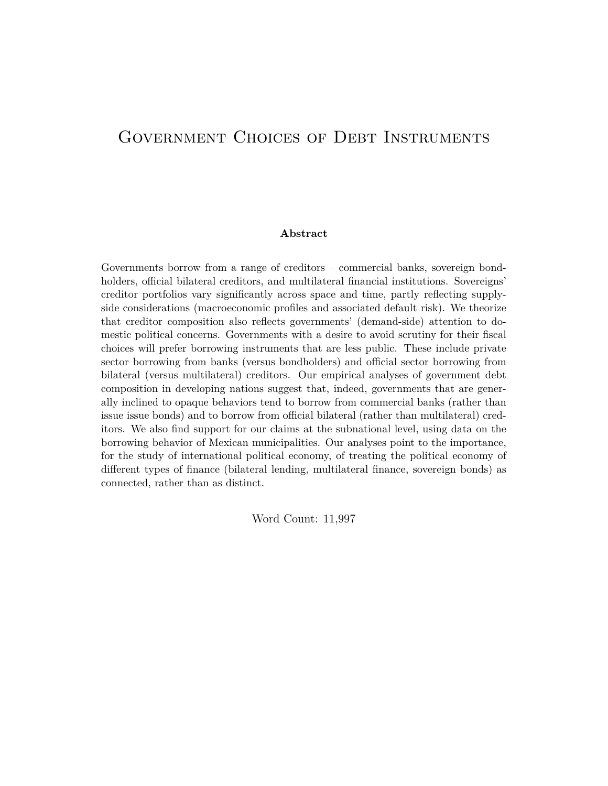# GOVERNMENT CHOICES OF DEBT INSTRUMENTS

#### **Abstract**

Governments borrow from a range of creditors – commercial banks, sovereign bondholders, official bilateral creditors, and multilateral financial institutions. Sovereigns' creditor portfolios vary significantly across space and time, partly reflecting supplyside considerations (macroeconomic profiles and associated default risk). We theorize that creditor composition also reflects governments' (demand-side) attention to domestic political concerns. Governments with a desire to avoid scrutiny for their fiscal choices will prefer borrowing instruments that are less public. These include private sector borrowing from banks (versus bondholders) and official sector borrowing from bilateral (versus multilateral) creditors. Our empirical analyses of government debt composition in developing nations suggest that, indeed, governments that are generally inclined to opaque behaviors tend to borrow from commercial banks (rather than issue issue bonds) and to borrow from official bilateral (rather than multilateral) creditors. We also find support for our claims at the subnational level, using data on the borrowing behavior of Mexican municipalities. Our analyses point to the importance, for the study of international political economy, of treating the political economy of different types of finance (bilateral lending, multilateral finance, sovereign bonds) as connected, rather than as distinct.

Word Count: 11,997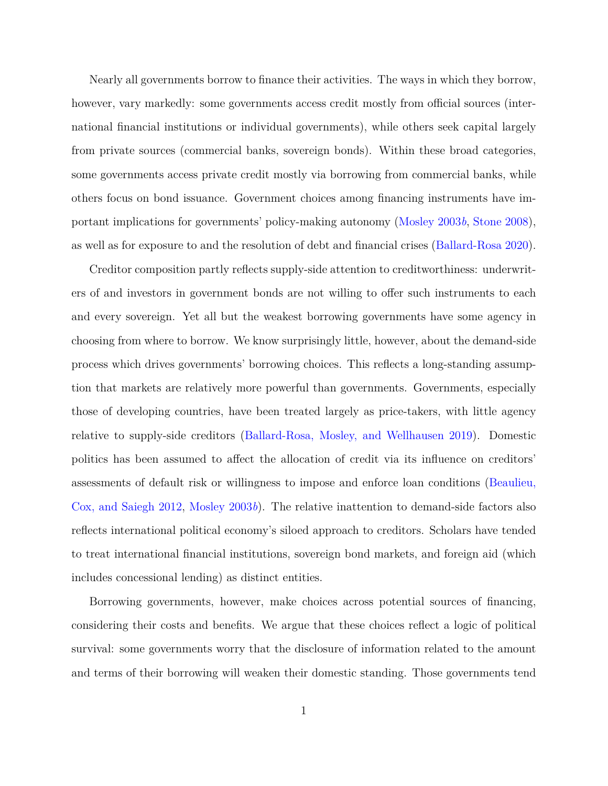Nearly all governments borrow to finance their activities. The ways in which they borrow, however, vary markedly: some governments access credit mostly from official sources (international financial institutions or individual governments), while others seek capital largely from private sources (commercial banks, sovereign bonds). Within these broad categories, some governments access private credit mostly via borrowing from commercial banks, while others focus on bond issuance. Government choices among financing instruments have important implications for governments' policy-making autonomy ([Mosley](#page-39-0) [2003](#page-39-0)*b*, [Stone](#page-40-0) [2008](#page-40-0)), as well as for exposure to and the resolution of debt and financial crises [\(Ballard-Rosa](#page-35-0) [2020](#page-35-0)).

Creditor composition partly reflects supply-side attention to creditworthiness: underwriters of and investors in government bonds are not willing to offer such instruments to each and every sovereign. Yet all but the weakest borrowing governments have some agency in choosing from where to borrow. We know surprisingly little, however, about the demand-side process which drives governments' borrowing choices. This reflects a long-standing assumption that markets are relatively more powerful than governments. Governments, especially those of developing countries, have been treated largely as price-takers, with little agency relative to supply-side creditors ([Ballard-Rosa, Mosley, and Wellhausen](#page-35-1) [2019\)](#page-35-1). Domestic politics has been assumed to affect the allocation of credit via its influence on creditors' assessments of default risk or willingness to impose and enforce loan conditions ([Beaulieu,](#page-35-2) [Cox, and Saiegh](#page-35-2) [2012](#page-35-2), [Mosley](#page-39-0) [2003](#page-39-0)*b*). The relative inattention to demand-side factors also reflects international political economy's siloed approach to creditors. Scholars have tended to treat international financial institutions, sovereign bond markets, and foreign aid (which includes concessional lending) as distinct entities.

Borrowing governments, however, make choices across potential sources of financing, considering their costs and benefits. We argue that these choices reflect a logic of political survival: some governments worry that the disclosure of information related to the amount and terms of their borrowing will weaken their domestic standing. Those governments tend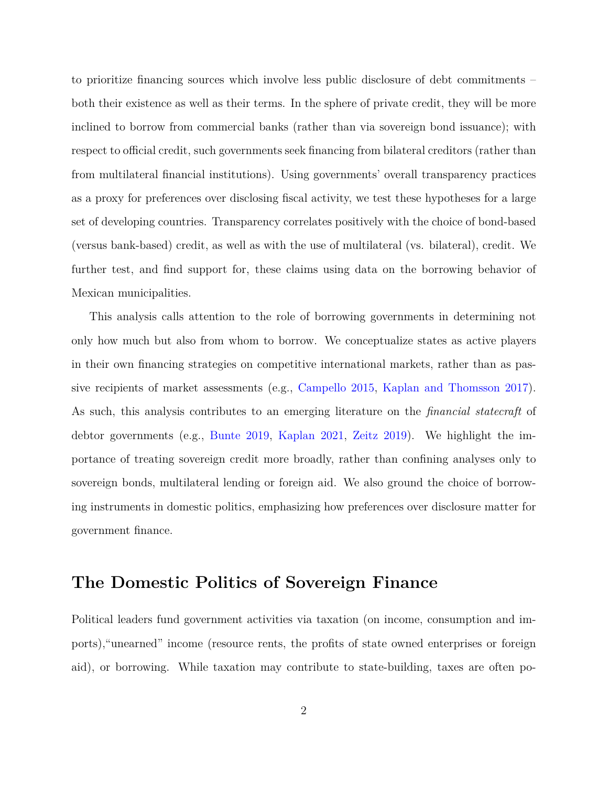to prioritize financing sources which involve less public disclosure of debt commitments – both their existence as well as their terms. In the sphere of private credit, they will be more inclined to borrow from commercial banks (rather than via sovereign bond issuance); with respect to official credit, such governments seek financing from bilateral creditors (rather than from multilateral financial institutions). Using governments' overall transparency practices as a proxy for preferences over disclosing fiscal activity, we test these hypotheses for a large set of developing countries. Transparency correlates positively with the choice of bond-based (versus bank-based) credit, as well as with the use of multilateral (vs. bilateral), credit. We further test, and find support for, these claims using data on the borrowing behavior of Mexican municipalities.

This analysis calls attention to the role of borrowing governments in determining not only how much but also from whom to borrow. We conceptualize states as active players in their own financing strategies on competitive international markets, rather than as passive recipients of market assessments (e.g., [Campello](#page-36-0) [2015](#page-36-0), [Kaplan and Thomsson](#page-38-0) [2017](#page-38-0)). As such, this analysis contributes to an emerging literature on the *financial statecraft* of debtor governments (e.g., [Bunte](#page-36-1) [2019](#page-36-1), [Kaplan](#page-38-1) [2021](#page-38-1), [Zeitz](#page-41-0) [2019\)](#page-41-0). We highlight the importance of treating sovereign credit more broadly, rather than confining analyses only to sovereign bonds, multilateral lending or foreign aid. We also ground the choice of borrowing instruments in domestic politics, emphasizing how preferences over disclosure matter for government finance.

## **The Domestic Politics of Sovereign Finance**

Political leaders fund government activities via taxation (on income, consumption and imports),"unearned" income (resource rents, the profits of state owned enterprises or foreign aid), or borrowing. While taxation may contribute to state-building, taxes are often po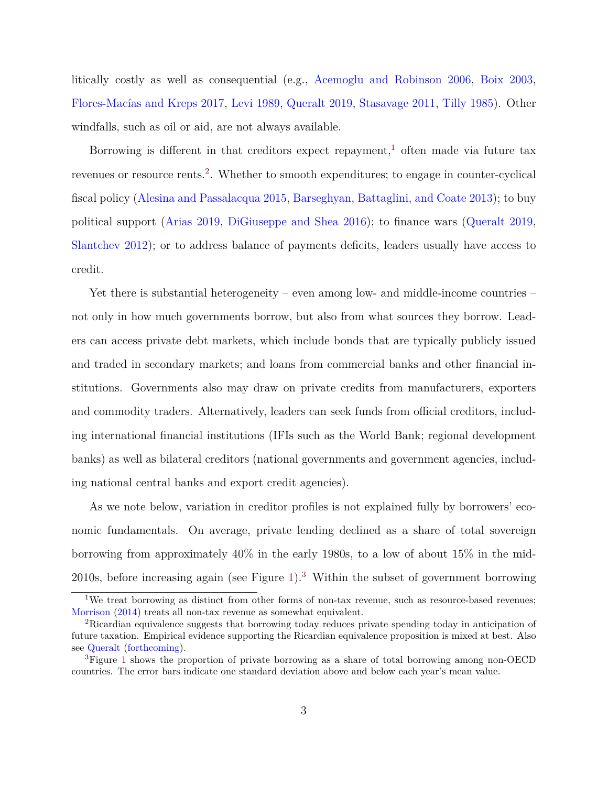litically costly as well as consequential (e.g., [Acemoglu and Robinson](#page-35-3) [2006](#page-35-3), [Boix](#page-36-2) [2003,](#page-36-2) [Flores-Macías and Kreps](#page-37-0) [2017,](#page-37-0) [Levi](#page-38-2) [1989,](#page-38-2) [Queralt](#page-39-1) [2019](#page-39-1), [Stasavage](#page-40-1) [2011,](#page-40-1) [Tilly](#page-40-2) [1985](#page-40-2)). Other windfalls, such as oil or aid, are not always available.

Borrowing is different in that creditors expect repayment,<sup>[1](#page-3-0)</sup> often made via future tax revenues or resource rents.<sup>[2](#page-3-1)</sup>. Whether to smooth expenditures; to engage in counter-cyclical fiscal policy ([Alesina and Passalacqua](#page-35-4) [2015,](#page-35-4) [Barseghyan, Battaglini, and Coate](#page-35-5) [2013](#page-35-5)); to buy political support ([Arias](#page-35-6) [2019,](#page-35-6) [DiGiuseppe and Shea](#page-37-1) [2016](#page-37-1)); to finance wars ([Queralt](#page-39-1) [2019,](#page-39-1) [Slantchev](#page-40-3) [2012\)](#page-40-3); or to address balance of payments deficits, leaders usually have access to credit.

Yet there is substantial heterogeneity – even among low- and middle-income countries – not only in how much governments borrow, but also from what sources they borrow. Leaders can access private debt markets, which include bonds that are typically publicly issued and traded in secondary markets; and loans from commercial banks and other financial institutions. Governments also may draw on private credits from manufacturers, exporters and commodity traders. Alternatively, leaders can seek funds from official creditors, including international financial institutions (IFIs such as the World Bank; regional development banks) as well as bilateral creditors (national governments and government agencies, including national central banks and export credit agencies).

As we note below, variation in creditor profiles is not explained fully by borrowers' economic fundamentals. On average, private lending declined as a share of total sovereign borrowing from approximately 40% in the early 1980s, to a low of about 15% in the mid-2010s, before increasing again (see Figure [1](#page-4-0)).[3](#page-3-2) Within the subset of government borrowing

<span id="page-3-0"></span><sup>&</sup>lt;sup>1</sup>We treat borrowing as distinct from other forms of non-tax revenue, such as resource-based revenues; [Morrison](#page-39-2) [\(2014](#page-39-2)) treats all non-tax revenue as somewhat equivalent.

<span id="page-3-1"></span><sup>2</sup>Ricardian equivalence suggests that borrowing today reduces private spending today in anticipation of future taxation. Empirical evidence supporting the Ricardian equivalence proposition is mixed at best. Also see [Queralt](#page-39-3) ([forthcoming\)](#page-39-3).

<span id="page-3-2"></span><sup>3</sup>Figure [1](#page-4-0) shows the proportion of private borrowing as a share of total borrowing among non-OECD countries. The error bars indicate one standard deviation above and below each year's mean value.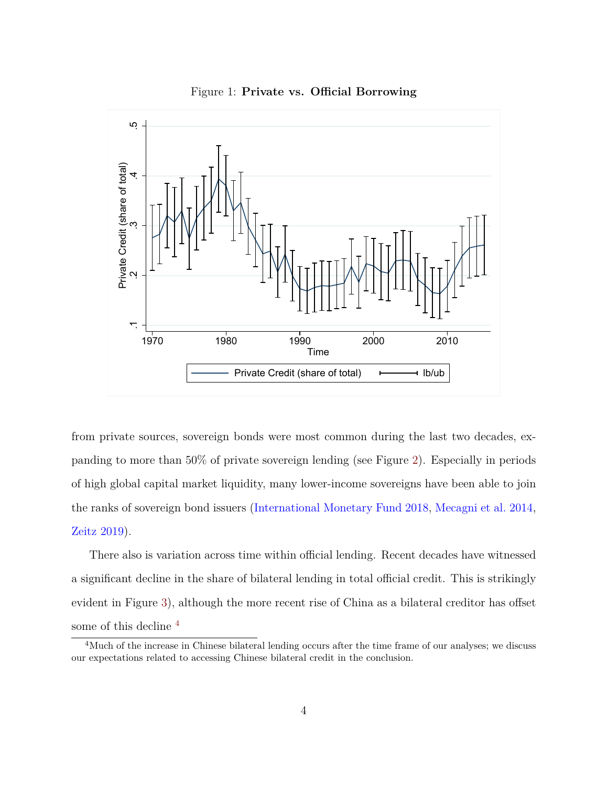

<span id="page-4-0"></span>

from private sources, sovereign bonds were most common during the last two decades, expanding to more than 50% of private sovereign lending (see Figure [2](#page-5-0)). Especially in periods of high global capital market liquidity, many lower-income sovereigns have been able to join the ranks of sovereign bond issuers [\(International Monetary Fund](#page-38-3) [2018,](#page-38-3) [Mecagni et al.](#page-38-4) [2014,](#page-38-4) [Zeitz](#page-41-0) [2019\)](#page-41-0).

There also is variation across time within official lending. Recent decades have witnessed a significant decline in the share of bilateral lending in total official credit. This is strikingly evident in Figure [3](#page-6-0)), although the more recent rise of China as a bilateral creditor has offset some of this decline [4](#page-4-1)

<span id="page-4-1"></span><sup>4</sup>Much of the increase in Chinese bilateral lending occurs after the time frame of our analyses; we discuss our expectations related to accessing Chinese bilateral credit in the conclusion.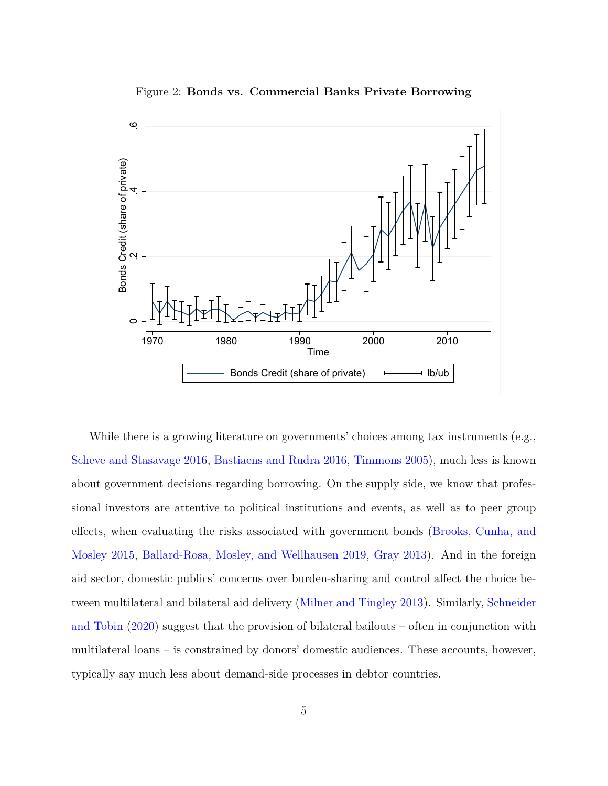<span id="page-5-0"></span>

Figure 2: **Bonds vs. Commercial Banks Private Borrowing**

While there is a growing literature on governments' choices among tax instruments (e.g., [Scheve and Stasavage](#page-40-4) [2016,](#page-40-4) [Bastiaens and Rudra](#page-35-7) [2016](#page-35-7), [Timmons](#page-40-5) [2005\)](#page-40-5), much less is known about government decisions regarding borrowing. On the supply side, we know that professional investors are attentive to political institutions and events, as well as to peer group effects, when evaluating the risks associated with government bonds ([Brooks, Cunha, and](#page-36-3) [Mosley](#page-36-3) [2015,](#page-36-3) [Ballard-Rosa, Mosley, and Wellhausen](#page-35-1) [2019,](#page-35-1) [Gray](#page-37-2) [2013\)](#page-37-2). And in the foreign aid sector, domestic publics' concerns over burden-sharing and control affect the choice between multilateral and bilateral aid delivery [\(Milner and Tingley](#page-38-5) [2013\)](#page-38-5). Similarly, [Schneider](#page-40-6) [and Tobin](#page-40-6) [\(2020\)](#page-40-6) suggest that the provision of bilateral bailouts – often in conjunction with multilateral loans – is constrained by donors' domestic audiences. These accounts, however, typically say much less about demand-side processes in debtor countries.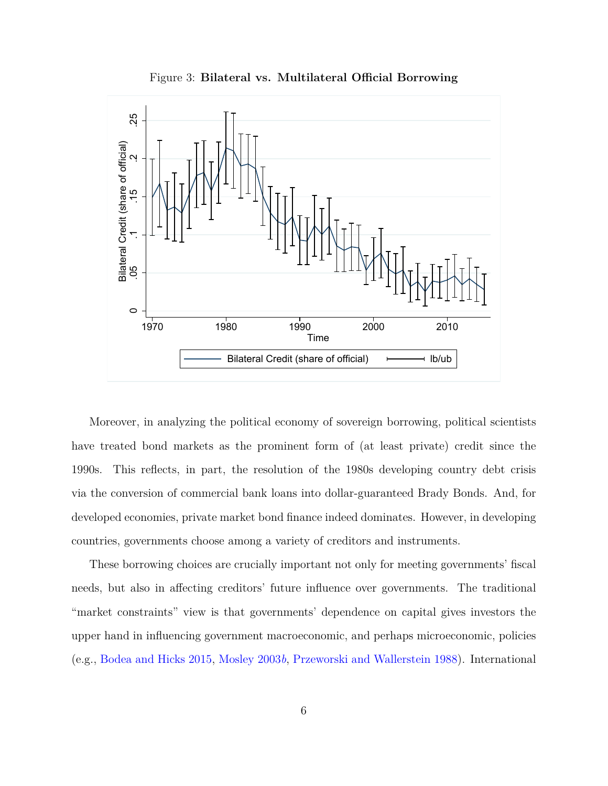<span id="page-6-0"></span>

Figure 3: **Bilateral vs. Multilateral Official Borrowing**

Moreover, in analyzing the political economy of sovereign borrowing, political scientists have treated bond markets as the prominent form of (at least private) credit since the 1990s. This reflects, in part, the resolution of the 1980s developing country debt crisis via the conversion of commercial bank loans into dollar-guaranteed Brady Bonds. And, for developed economies, private market bond finance indeed dominates. However, in developing countries, governments choose among a variety of creditors and instruments.

These borrowing choices are crucially important not only for meeting governments' fiscal needs, but also in affecting creditors' future influence over governments. The traditional "market constraints" view is that governments' dependence on capital gives investors the upper hand in influencing government macroeconomic, and perhaps microeconomic, policies (e.g., [Bodea and Hicks](#page-36-4) [2015](#page-36-4), [Mosley](#page-39-0) [2003](#page-39-0)*b*, [Przeworski and Wallerstein](#page-39-4) [1988\)](#page-39-4). International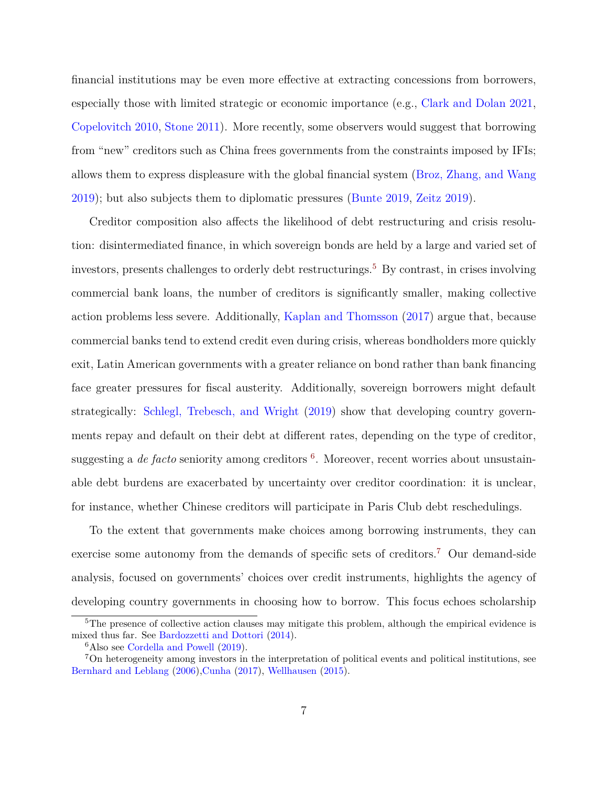financial institutions may be even more effective at extracting concessions from borrowers, especially those with limited strategic or economic importance (e.g., [Clark and Dolan](#page-36-5) [2021,](#page-36-5) [Copelovitch](#page-36-6) [2010](#page-36-6), [Stone](#page-40-7) [2011](#page-40-7)). More recently, some observers would suggest that borrowing from "new" creditors such as China frees governments from the constraints imposed by IFIs; allows them to express displeasure with the global financial system [\(Broz, Zhang, and Wang](#page-36-7) [2019](#page-36-7)); but also subjects them to diplomatic pressures ([Bunte](#page-36-1) [2019](#page-36-1), [Zeitz](#page-41-0) [2019\)](#page-41-0).

Creditor composition also affects the likelihood of debt restructuring and crisis resolution: disintermediated finance, in which sovereign bonds are held by a large and varied set of investors, presents challenges to orderly debt restructurings.<sup>[5](#page-7-0)</sup> By contrast, in crises involving commercial bank loans, the number of creditors is significantly smaller, making collective action problems less severe. Additionally, [Kaplan and Thomsson](#page-38-0) [\(2017\)](#page-38-0) argue that, because commercial banks tend to extend credit even during crisis, whereas bondholders more quickly exit, Latin American governments with a greater reliance on bond rather than bank financing face greater pressures for fiscal austerity. Additionally, sovereign borrowers might default strategically: [Schlegl, Trebesch, and Wright](#page-40-8) ([2019](#page-40-8)) show that developing country governments repay and default on their debt at different rates, depending on the type of creditor, suggesting a *de facto* seniority among creditors <sup>[6](#page-7-1)</sup>. Moreover, recent worries about unsustainable debt burdens are exacerbated by uncertainty over creditor coordination: it is unclear, for instance, whether Chinese creditors will participate in Paris Club debt reschedulings.

To the extent that governments make choices among borrowing instruments, they can exercise some autonomy from the demands of specific sets of creditors.<sup>[7](#page-7-2)</sup> Our demand-side analysis, focused on governments' choices over credit instruments, highlights the agency of developing country governments in choosing how to borrow. This focus echoes scholarship

<span id="page-7-0"></span> $\overline{5}$ The presence of collective action clauses may mitigate this problem, although the empirical evidence is mixed thus far. See [Bardozzetti and Dottori](#page-35-8) [\(2014](#page-35-8)).

<span id="page-7-2"></span><span id="page-7-1"></span><sup>&</sup>lt;sup>6</sup>Also see [Cordella and Powell](#page-36-8) [\(2019\)](#page-36-8).

<sup>7</sup>On heterogeneity among investors in the interpretation of political events and political institutions, see [Bernhard and Leblang](#page-35-9) [\(2006](#page-35-9)),[Cunha](#page-37-3) ([2017\)](#page-37-3), [Wellhausen](#page-41-1) [\(2015](#page-41-1)).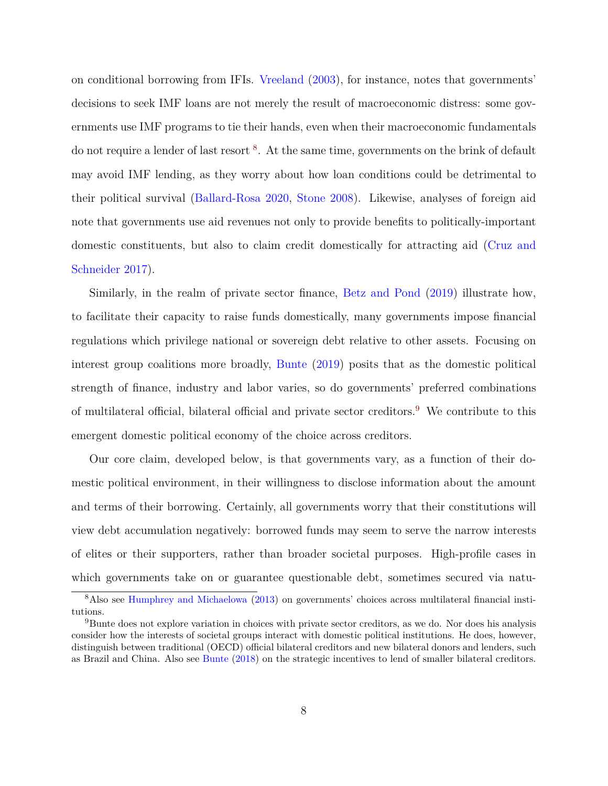on conditional borrowing from IFIs. [Vreeland](#page-40-9) ([2003](#page-40-9)), for instance, notes that governments' decisions to seek IMF loans are not merely the result of macroeconomic distress: some governments use IMF programs to tie their hands, even when their macroeconomic fundamentals do not require a lender of last resort <sup>[8](#page-8-0)</sup>. At the same time, governments on the brink of default may avoid IMF lending, as they worry about how loan conditions could be detrimental to their political survival [\(Ballard-Rosa](#page-35-0) [2020,](#page-35-0) [Stone](#page-40-0) [2008](#page-40-0)). Likewise, analyses of foreign aid note that governments use aid revenues not only to provide benefits to politically-important domestic constituents, but also to claim credit domestically for attracting aid [\(Cruz and](#page-36-9) [Schneider](#page-36-9) [2017](#page-36-9)).

Similarly, in the realm of private sector finance, [Betz and Pond](#page-36-10) [\(2019](#page-36-10)) illustrate how, to facilitate their capacity to raise funds domestically, many governments impose financial regulations which privilege national or sovereign debt relative to other assets. Focusing on interest group coalitions more broadly, [Bunte](#page-36-1) ([2019](#page-36-1)) posits that as the domestic political strength of finance, industry and labor varies, so do governments' preferred combinations of multilateral official, bilateral official and private sector creditors.[9](#page-8-1) We contribute to this emergent domestic political economy of the choice across creditors.

Our core claim, developed below, is that governments vary, as a function of their domestic political environment, in their willingness to disclose information about the amount and terms of their borrowing. Certainly, all governments worry that their constitutions will view debt accumulation negatively: borrowed funds may seem to serve the narrow interests of elites or their supporters, rather than broader societal purposes. High-profile cases in which governments take on or guarantee questionable debt, sometimes secured via natu-

<span id="page-8-0"></span><sup>8</sup>Also see [Humphrey and Michaelowa](#page-38-6) ([2013\)](#page-38-6) on governments' choices across multilateral financial institutions.

<span id="page-8-1"></span><sup>&</sup>lt;sup>9</sup>Bunte does not explore variation in choices with private sector creditors, as we do. Nor does his analysis consider how the interests of societal groups interact with domestic political institutions. He does, however, distinguish between traditional (OECD) official bilateral creditors and new bilateral donors and lenders, such as Brazil and China. Also see [Bunte](#page-36-11) [\(2018](#page-36-11)) on the strategic incentives to lend of smaller bilateral creditors.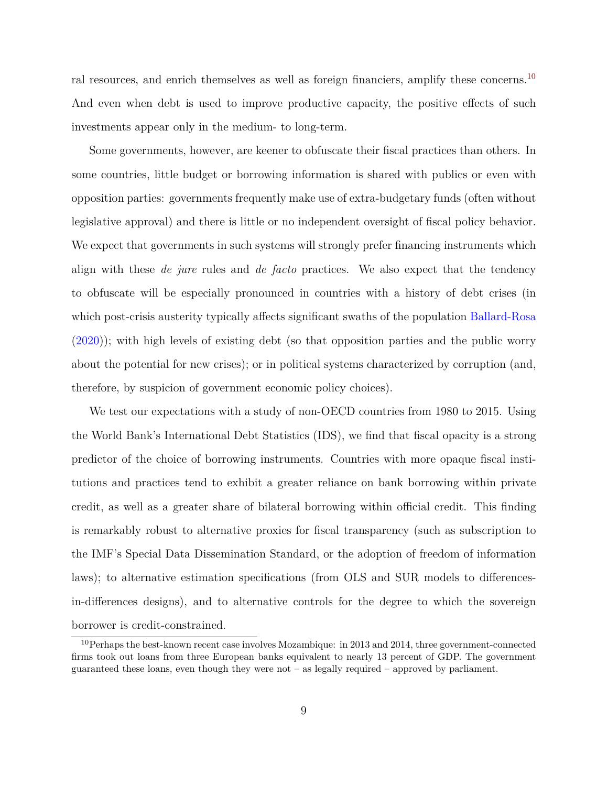ral resources, and enrich themselves as well as foreign financiers, amplify these concerns.<sup>[10](#page-9-0)</sup> And even when debt is used to improve productive capacity, the positive effects of such investments appear only in the medium- to long-term.

Some governments, however, are keener to obfuscate their fiscal practices than others. In some countries, little budget or borrowing information is shared with publics or even with opposition parties: governments frequently make use of extra-budgetary funds (often without legislative approval) and there is little or no independent oversight of fiscal policy behavior. We expect that governments in such systems will strongly prefer financing instruments which align with these *de jure* rules and *de facto* practices. We also expect that the tendency to obfuscate will be especially pronounced in countries with a history of debt crises (in which post-crisis austerity typically affects significant swaths of the population [Ballard-Rosa](#page-35-0) ([2020\)](#page-35-0)); with high levels of existing debt (so that opposition parties and the public worry about the potential for new crises); or in political systems characterized by corruption (and, therefore, by suspicion of government economic policy choices).

We test our expectations with a study of non-OECD countries from 1980 to 2015. Using the World Bank's International Debt Statistics (IDS), we find that fiscal opacity is a strong predictor of the choice of borrowing instruments. Countries with more opaque fiscal institutions and practices tend to exhibit a greater reliance on bank borrowing within private credit, as well as a greater share of bilateral borrowing within official credit. This finding is remarkably robust to alternative proxies for fiscal transparency (such as subscription to the IMF's Special Data Dissemination Standard, or the adoption of freedom of information laws); to alternative estimation specifications (from OLS and SUR models to differencesin-differences designs), and to alternative controls for the degree to which the sovereign borrower is credit-constrained.

<span id="page-9-0"></span> $10$ Perhaps the best-known recent case involves Mozambique: in 2013 and 2014, three government-connected firms took out loans from three European banks equivalent to nearly 13 percent of GDP. The government guaranteed these loans, even though they were not – as legally required – approved by parliament.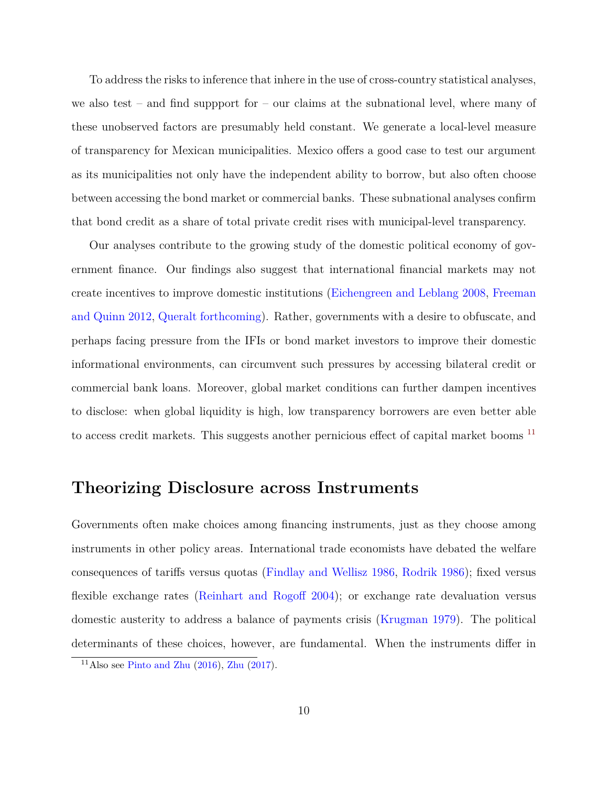To address the risks to inference that inhere in the use of cross-country statistical analyses, we also test – and find suppport for – our claims at the subnational level, where many of these unobserved factors are presumably held constant. We generate a local-level measure of transparency for Mexican municipalities. Mexico offers a good case to test our argument as its municipalities not only have the independent ability to borrow, but also often choose between accessing the bond market or commercial banks. These subnational analyses confirm that bond credit as a share of total private credit rises with municipal-level transparency.

Our analyses contribute to the growing study of the domestic political economy of government finance. Our findings also suggest that international financial markets may not create incentives to improve domestic institutions ([Eichengreen and Leblang](#page-37-4) [2008](#page-37-4), [Freeman](#page-37-5) [and Quinn](#page-37-5) [2012,](#page-37-5) [Queralt](#page-39-3) [forthcoming](#page-39-3)). Rather, governments with a desire to obfuscate, and perhaps facing pressure from the IFIs or bond market investors to improve their domestic informational environments, can circumvent such pressures by accessing bilateral credit or commercial bank loans. Moreover, global market conditions can further dampen incentives to disclose: when global liquidity is high, low transparency borrowers are even better able to access credit markets. This suggests another pernicious effect of capital market booms<sup>[11](#page-10-0)</sup>

## **Theorizing Disclosure across Instruments**

Governments often make choices among financing instruments, just as they choose among instruments in other policy areas. International trade economists have debated the welfare consequences of tariffs versus quotas [\(Findlay and Wellisz](#page-37-6) [1986,](#page-37-6) [Rodrik](#page-39-5) [1986\)](#page-39-5); fixed versus flexible exchange rates [\(Reinhart and Rogoff](#page-39-6) [2004\)](#page-39-6); or exchange rate devaluation versus domestic austerity to address a balance of payments crisis [\(Krugman](#page-38-7) [1979](#page-38-7)). The political determinants of these choices, however, are fundamental. When the instruments differ in

<span id="page-10-0"></span><sup>&</sup>lt;sup>11</sup>Also see [Pinto and Zhu](#page-39-7)  $(2016)$  $(2016)$ , [Zhu](#page-41-2)  $(2017)$  $(2017)$ .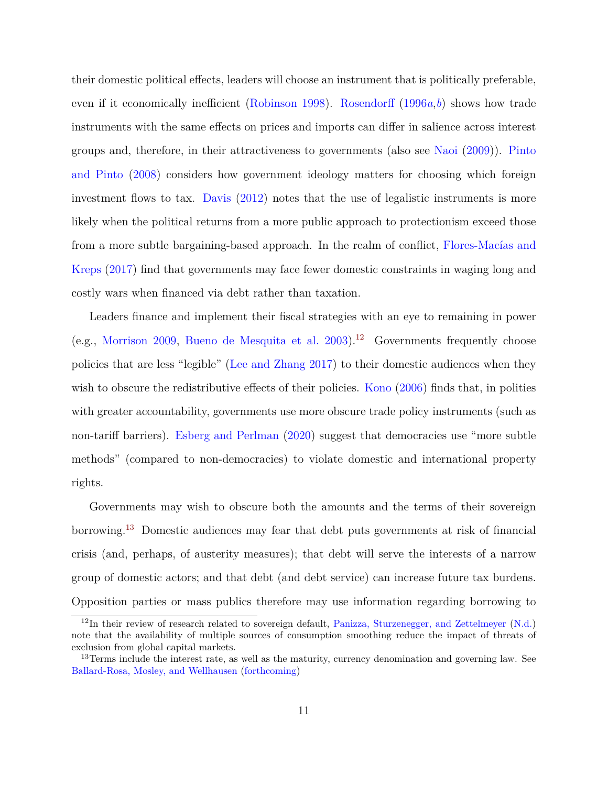their domestic political effects, leaders will choose an instrument that is politically preferable, even if it economically inefficient ([Robinson](#page-39-8) [1998\)](#page-39-8). [Rosendorff](#page-40-10) ([1996](#page-40-10)*a*,*[b](#page-40-11)*) shows how trade instruments with the same effects on prices and imports can differ in salience across interest groups and, therefore, in their attractiveness to governments (also see [Naoi](#page-39-9) ([2009](#page-39-9))). [Pinto](#page-39-10) [and Pinto](#page-39-10) [\(2008\)](#page-39-10) considers how government ideology matters for choosing which foreign investment flows to tax. [Davis](#page-37-7) ([2012](#page-37-7)) notes that the use of legalistic instruments is more likely when the political returns from a more public approach to protectionism exceed those from a more subtle bargaining-based approach. In the realm of conflict, [Flores-Macías and](#page-37-0) [Kreps](#page-37-0) [\(2017\)](#page-37-0) find that governments may face fewer domestic constraints in waging long and costly wars when financed via debt rather than taxation.

Leaders finance and implement their fiscal strategies with an eye to remaining in power (e.g., [Morrison](#page-39-11) [2009,](#page-39-11) [Bueno de Mesquita et al.](#page-36-12) [2003](#page-36-12)).<sup>[12](#page-11-0)</sup> Governments frequently choose policies that are less "legible" ([Lee and Zhang](#page-38-8) [2017](#page-38-8)) to their domestic audiences when they wish to obscure the redistributive effects of their policies. [Kono](#page-38-9) [\(2006\)](#page-38-9) finds that, in polities with greater accountability, governments use more obscure trade policy instruments (such as non-tariff barriers). [Esberg and Perlman](#page-37-8) ([2020](#page-37-8)) suggest that democracies use "more subtle methods" (compared to non-democracies) to violate domestic and international property rights.

Governments may wish to obscure both the amounts and the terms of their sovereign borrowing.[13](#page-11-1) Domestic audiences may fear that debt puts governments at risk of financial crisis (and, perhaps, of austerity measures); that debt will serve the interests of a narrow group of domestic actors; and that debt (and debt service) can increase future tax burdens. Opposition parties or mass publics therefore may use information regarding borrowing to

<span id="page-11-0"></span> $12$ In their review of research related to sovereign default, [Panizza, Sturzenegger, and Zettelmeyer](#page-39-12) ([N.d.](#page-39-12)) note that the availability of multiple sources of consumption smoothing reduce the impact of threats of exclusion from global capital markets.

<span id="page-11-1"></span><sup>&</sup>lt;sup>13</sup>Terms include the interest rate, as well as the maturity, currency denomination and governing law. See [Ballard-Rosa, Mosley, and Wellhausen](#page-35-10) [\(forthcoming\)](#page-35-10)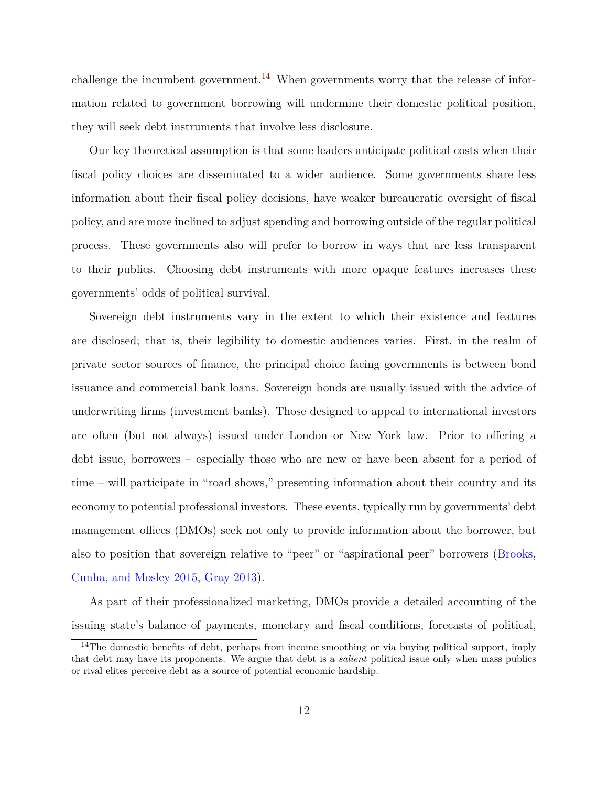challenge the incumbent government.<sup>[14](#page-12-0)</sup> When governments worry that the release of information related to government borrowing will undermine their domestic political position, they will seek debt instruments that involve less disclosure.

Our key theoretical assumption is that some leaders anticipate political costs when their fiscal policy choices are disseminated to a wider audience. Some governments share less information about their fiscal policy decisions, have weaker bureaucratic oversight of fiscal policy, and are more inclined to adjust spending and borrowing outside of the regular political process. These governments also will prefer to borrow in ways that are less transparent to their publics. Choosing debt instruments with more opaque features increases these governments' odds of political survival.

Sovereign debt instruments vary in the extent to which their existence and features are disclosed; that is, their legibility to domestic audiences varies. First, in the realm of private sector sources of finance, the principal choice facing governments is between bond issuance and commercial bank loans. Sovereign bonds are usually issued with the advice of underwriting firms (investment banks). Those designed to appeal to international investors are often (but not always) issued under London or New York law. Prior to offering a debt issue, borrowers – especially those who are new or have been absent for a period of time – will participate in "road shows," presenting information about their country and its economy to potential professional investors. These events, typically run by governments' debt management offices (DMOs) seek not only to provide information about the borrower, but also to position that sovereign relative to "peer" or "aspirational peer" borrowers [\(Brooks,](#page-36-3) [Cunha, and Mosley](#page-36-3) [2015,](#page-36-3) [Gray](#page-37-2) [2013\)](#page-37-2).

As part of their professionalized marketing, DMOs provide a detailed accounting of the issuing state's balance of payments, monetary and fiscal conditions, forecasts of political,

<span id="page-12-0"></span><sup>&</sup>lt;sup>14</sup>The domestic benefits of debt, perhaps from income smoothing or via buying political support, imply that debt may have its proponents. We argue that debt is a *salient* political issue only when mass publics or rival elites perceive debt as a source of potential economic hardship.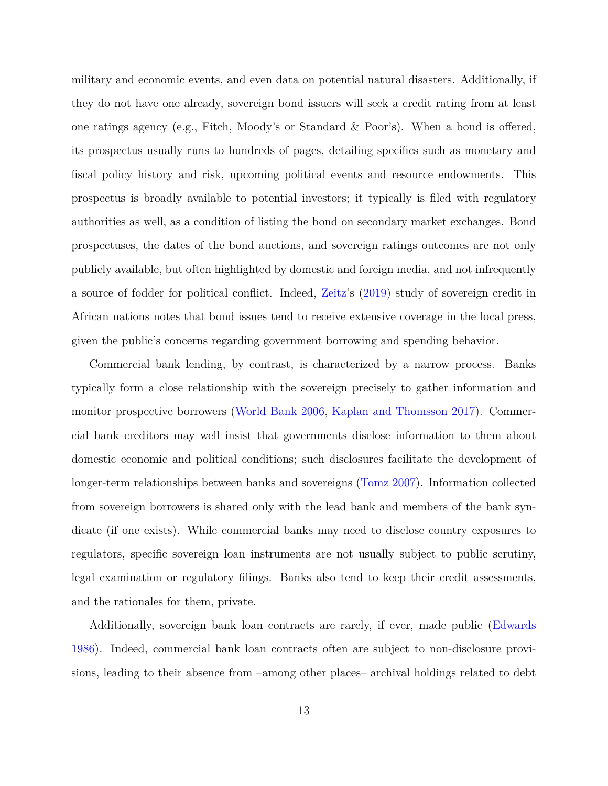military and economic events, and even data on potential natural disasters. Additionally, if they do not have one already, sovereign bond issuers will seek a credit rating from at least one ratings agency (e.g., Fitch, Moody's or Standard & Poor's). When a bond is offered, its prospectus usually runs to hundreds of pages, detailing specifics such as monetary and fiscal policy history and risk, upcoming political events and resource endowments. This prospectus is broadly available to potential investors; it typically is filed with regulatory authorities as well, as a condition of listing the bond on secondary market exchanges. Bond prospectuses, the dates of the bond auctions, and sovereign ratings outcomes are not only publicly available, but often highlighted by domestic and foreign media, and not infrequently a source of fodder for political conflict. Indeed, [Zeitz](#page-41-0)'s ([2019](#page-41-0)) study of sovereign credit in African nations notes that bond issues tend to receive extensive coverage in the local press, given the public's concerns regarding government borrowing and spending behavior.

Commercial bank lending, by contrast, is characterized by a narrow process. Banks typically form a close relationship with the sovereign precisely to gather information and monitor prospective borrowers ([World Bank](#page-41-3) [2006,](#page-41-3) [Kaplan and Thomsson](#page-38-0) [2017\)](#page-38-0). Commercial bank creditors may well insist that governments disclose information to them about domestic economic and political conditions; such disclosures facilitate the development of longer-term relationships between banks and sovereigns [\(Tomz](#page-40-12) [2007\)](#page-40-12). Information collected from sovereign borrowers is shared only with the lead bank and members of the bank syndicate (if one exists). While commercial banks may need to disclose country exposures to regulators, specific sovereign loan instruments are not usually subject to public scrutiny, legal examination or regulatory filings. Banks also tend to keep their credit assessments, and the rationales for them, private.

Additionally, sovereign bank loan contracts are rarely, if ever, made public ([Edwards](#page-37-9) [1986](#page-37-9)). Indeed, commercial bank loan contracts often are subject to non-disclosure provisions, leading to their absence from –among other places– archival holdings related to debt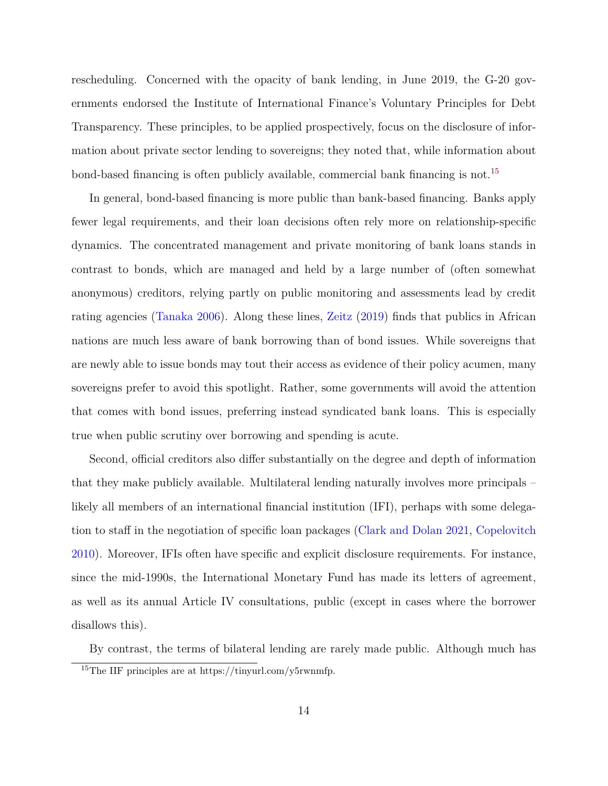rescheduling. Concerned with the opacity of bank lending, in June 2019, the G-20 governments endorsed the Institute of International Finance's Voluntary Principles for Debt Transparency. These principles, to be applied prospectively, focus on the disclosure of information about private sector lending to sovereigns; they noted that, while information about bond-based financing is often publicly available, commercial bank financing is not.<sup>[15](#page-14-0)</sup>

In general, bond-based financing is more public than bank-based financing. Banks apply fewer legal requirements, and their loan decisions often rely more on relationship-specific dynamics. The concentrated management and private monitoring of bank loans stands in contrast to bonds, which are managed and held by a large number of (often somewhat anonymous) creditors, relying partly on public monitoring and assessments lead by credit rating agencies ([Tanaka](#page-40-13) [2006\)](#page-40-13). Along these lines, [Zeitz](#page-41-0) [\(2019\)](#page-41-0) finds that publics in African nations are much less aware of bank borrowing than of bond issues. While sovereigns that are newly able to issue bonds may tout their access as evidence of their policy acumen, many sovereigns prefer to avoid this spotlight. Rather, some governments will avoid the attention that comes with bond issues, preferring instead syndicated bank loans. This is especially true when public scrutiny over borrowing and spending is acute.

Second, official creditors also differ substantially on the degree and depth of information that they make publicly available. Multilateral lending naturally involves more principals – likely all members of an international financial institution (IFI), perhaps with some delegation to staff in the negotiation of specific loan packages ([Clark and Dolan](#page-36-5) [2021,](#page-36-5) [Copelovitch](#page-36-6) [2010](#page-36-6)). Moreover, IFIs often have specific and explicit disclosure requirements. For instance, since the mid-1990s, the International Monetary Fund has made its letters of agreement, as well as its annual Article IV consultations, public (except in cases where the borrower disallows this).

<span id="page-14-0"></span>By contrast, the terms of bilateral lending are rarely made public. Although much has <sup>15</sup>The IIF principles are at https://tinyurl.com/y5rwnmfp.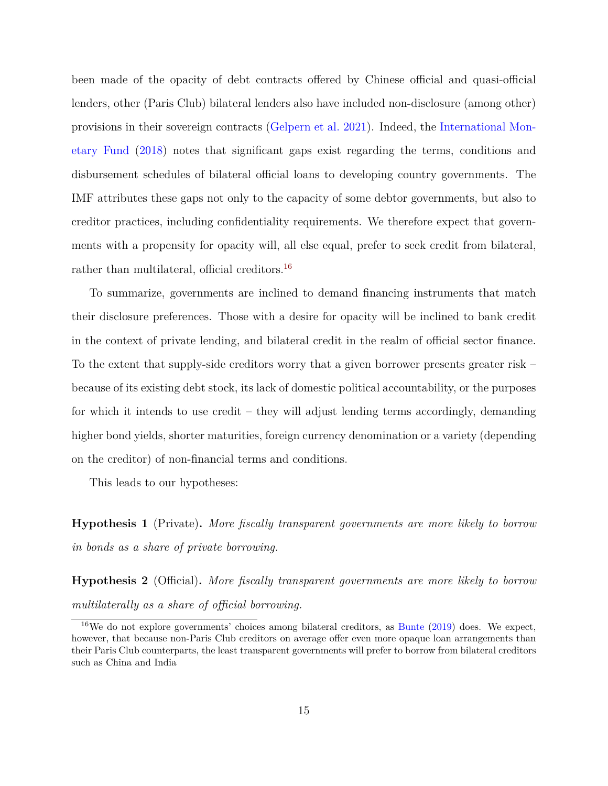been made of the opacity of debt contracts offered by Chinese official and quasi-official lenders, other (Paris Club) bilateral lenders also have included non-disclosure (among other) provisions in their sovereign contracts [\(Gelpern et al.](#page-37-10) [2021](#page-37-10)). Indeed, the [International Mon](#page-38-3)[etary Fund](#page-38-3) ([2018\)](#page-38-3) notes that significant gaps exist regarding the terms, conditions and disbursement schedules of bilateral official loans to developing country governments. The IMF attributes these gaps not only to the capacity of some debtor governments, but also to creditor practices, including confidentiality requirements. We therefore expect that governments with a propensity for opacity will, all else equal, prefer to seek credit from bilateral, rather than multilateral, official creditors.<sup>[16](#page-15-0)</sup>

To summarize, governments are inclined to demand financing instruments that match their disclosure preferences. Those with a desire for opacity will be inclined to bank credit in the context of private lending, and bilateral credit in the realm of official sector finance. To the extent that supply-side creditors worry that a given borrower presents greater risk – because of its existing debt stock, its lack of domestic political accountability, or the purposes for which it intends to use credit – they will adjust lending terms accordingly, demanding higher bond yields, shorter maturities, foreign currency denomination or a variety (depending on the creditor) of non-financial terms and conditions.

This leads to our hypotheses:

<span id="page-15-1"></span>**Hypothesis 1** (Private)**.** *More fiscally transparent governments are more likely to borrow in bonds as a share of private borrowing.*

<span id="page-15-2"></span>**Hypothesis 2** (Official)**.** *More fiscally transparent governments are more likely to borrow multilaterally as a share of official borrowing.*

<span id="page-15-0"></span><sup>&</sup>lt;sup>16</sup>We do not explore governments' choices among bilateral creditors, as [Bunte](#page-36-1)  $(2019)$  $(2019)$  does. We expect, however, that because non-Paris Club creditors on average offer even more opaque loan arrangements than their Paris Club counterparts, the least transparent governments will prefer to borrow from bilateral creditors such as China and India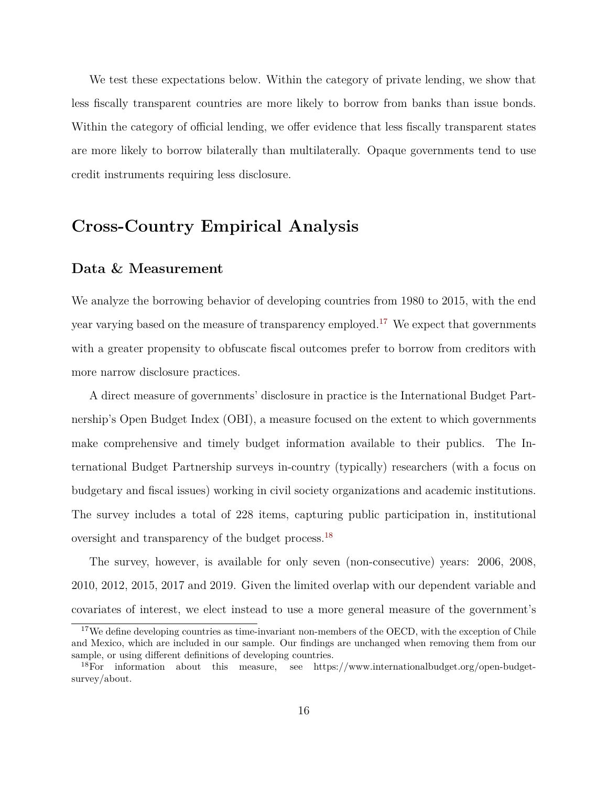We test these expectations below. Within the category of private lending, we show that less fiscally transparent countries are more likely to borrow from banks than issue bonds. Within the category of official lending, we offer evidence that less fiscally transparent states are more likely to borrow bilaterally than multilaterally. Opaque governments tend to use credit instruments requiring less disclosure.

## **Cross-Country Empirical Analysis**

### **Data & Measurement**

We analyze the borrowing behavior of developing countries from 1980 to 2015, with the end year varying based on the measure of transparency employed.<sup>[17](#page-16-0)</sup> We expect that governments with a greater propensity to obfuscate fiscal outcomes prefer to borrow from creditors with more narrow disclosure practices.

A direct measure of governments' disclosure in practice is the International Budget Partnership's Open Budget Index (OBI), a measure focused on the extent to which governments make comprehensive and timely budget information available to their publics. The International Budget Partnership surveys in-country (typically) researchers (with a focus on budgetary and fiscal issues) working in civil society organizations and academic institutions. The survey includes a total of 228 items, capturing public participation in, institutional oversight and transparency of the budget process.[18](#page-16-1)

The survey, however, is available for only seven (non-consecutive) years: 2006, 2008, 2010, 2012, 2015, 2017 and 2019. Given the limited overlap with our dependent variable and covariates of interest, we elect instead to use a more general measure of the government's

<span id="page-16-0"></span><sup>&</sup>lt;sup>17</sup>We define developing countries as time-invariant non-members of the OECD, with the exception of Chile and Mexico, which are included in our sample. Our findings are unchanged when removing them from our sample, or using different definitions of developing countries.

<span id="page-16-1"></span><sup>18</sup>For information about this measure, see https://www.internationalbudget.org/open-budgetsurvey/about.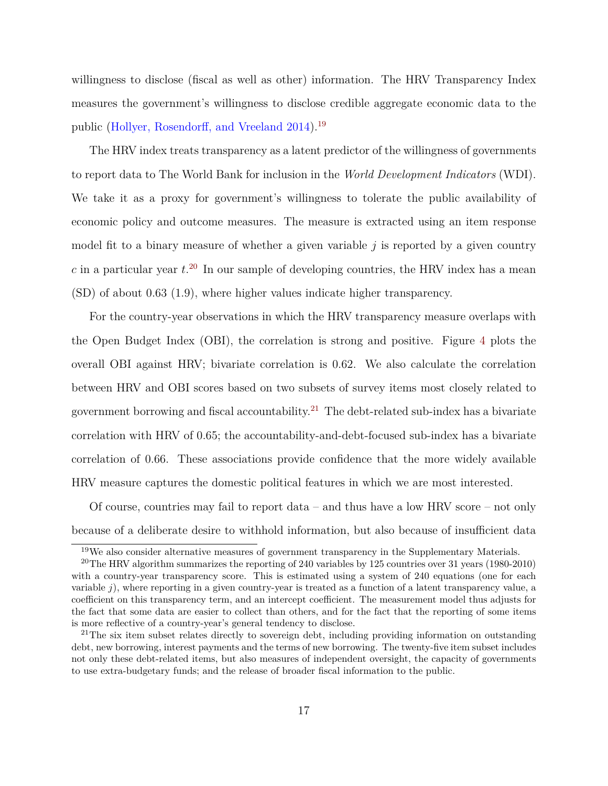willingness to disclose (fiscal as well as other) information. The HRV Transparency Index measures the government's willingness to disclose credible aggregate economic data to the public ([Hollyer, Rosendorff, and Vreeland](#page-37-11) [2014](#page-37-11)).[19](#page-17-0)

The HRV index treats transparency as a latent predictor of the willingness of governments to report data to The World Bank for inclusion in the *World Development Indicators* (WDI). We take it as a proxy for government's willingness to tolerate the public availability of economic policy and outcome measures. The measure is extracted using an item response model fit to a binary measure of whether a given variable *j* is reported by a given country  $c$  in a particular year  $t^{20}$  $t^{20}$  $t^{20}$ . In our sample of developing countries, the HRV index has a mean (SD) of about 0.63 (1.9), where higher values indicate higher transparency.

For the country-year observations in which the HRV transparency measure overlaps with the Open Budget Index (OBI), the correlation is strong and positive. Figure [4](#page-18-0) plots the overall OBI against HRV; bivariate correlation is 0.62. We also calculate the correlation between HRV and OBI scores based on two subsets of survey items most closely related to government borrowing and fiscal accountability.<sup>[21](#page-17-2)</sup> The debt-related sub-index has a bivariate correlation with HRV of 0.65; the accountability-and-debt-focused sub-index has a bivariate correlation of 0.66. These associations provide confidence that the more widely available HRV measure captures the domestic political features in which we are most interested.

Of course, countries may fail to report data – and thus have a low HRV score – not only because of a deliberate desire to withhold information, but also because of insufficient data

<span id="page-17-1"></span><span id="page-17-0"></span><sup>19</sup>We also consider alternative measures of government transparency in the Supplementary Materials.

<sup>&</sup>lt;sup>20</sup>The HRV algorithm summarizes the reporting of 240 variables by 125 countries over 31 years (1980-2010) with a country-year transparency score. This is estimated using a system of 240 equations (one for each variable *j*), where reporting in a given country-year is treated as a function of a latent transparency value, a coefficient on this transparency term, and an intercept coefficient. The measurement model thus adjusts for the fact that some data are easier to collect than others, and for the fact that the reporting of some items is more reflective of a country-year's general tendency to disclose.

<span id="page-17-2"></span> $21$ The six item subset relates directly to sovereign debt, including providing information on outstanding debt, new borrowing, interest payments and the terms of new borrowing. The twenty-five item subset includes not only these debt-related items, but also measures of independent oversight, the capacity of governments to use extra-budgetary funds; and the release of broader fiscal information to the public.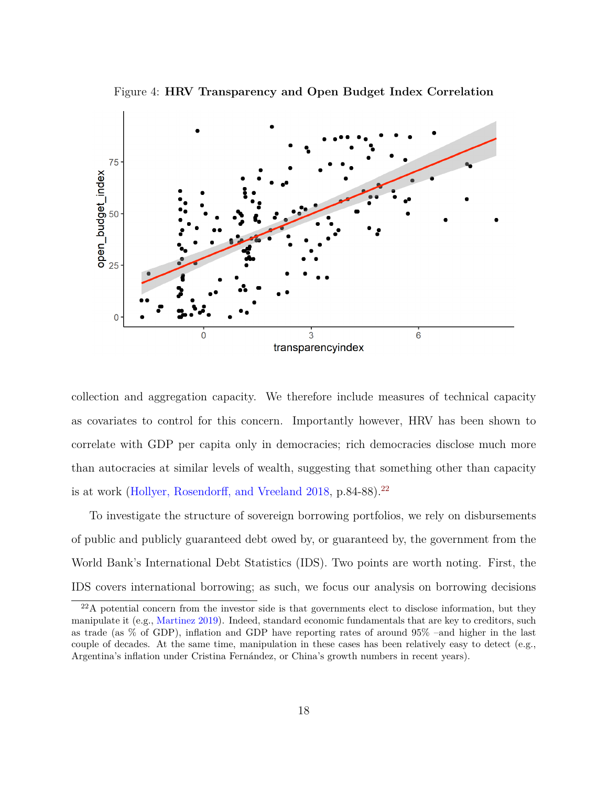Figure 4: **HRV Transparency and Open Budget Index Correlation**

<span id="page-18-0"></span>

collection and aggregation capacity. We therefore include measures of technical capacity as covariates to control for this concern. Importantly however, HRV has been shown to correlate with GDP per capita only in democracies; rich democracies disclose much more than autocracies at similar levels of wealth, suggesting that something other than capacity is at work [\(Hollyer, Rosendorff, and Vreeland](#page-37-12) [2018,](#page-37-12) p.84-88).<sup>[22](#page-18-1)</sup>

To investigate the structure of sovereign borrowing portfolios, we rely on disbursements of public and publicly guaranteed debt owed by, or guaranteed by, the government from the World Bank's International Debt Statistics (IDS). Two points are worth noting. First, the IDS covers international borrowing; as such, we focus our analysis on borrowing decisions

<span id="page-18-1"></span><sup>22</sup>A potential concern from the investor side is that governments elect to disclose information, but they manipulate it (e.g., [Martinez](#page-38-10) [2019\)](#page-38-10). Indeed, standard economic fundamentals that are key to creditors, such as trade (as % of GDP), inflation and GDP have reporting rates of around 95% –and higher in the last couple of decades. At the same time, manipulation in these cases has been relatively easy to detect (e.g., Argentina's inflation under Cristina Fernández, or China's growth numbers in recent years).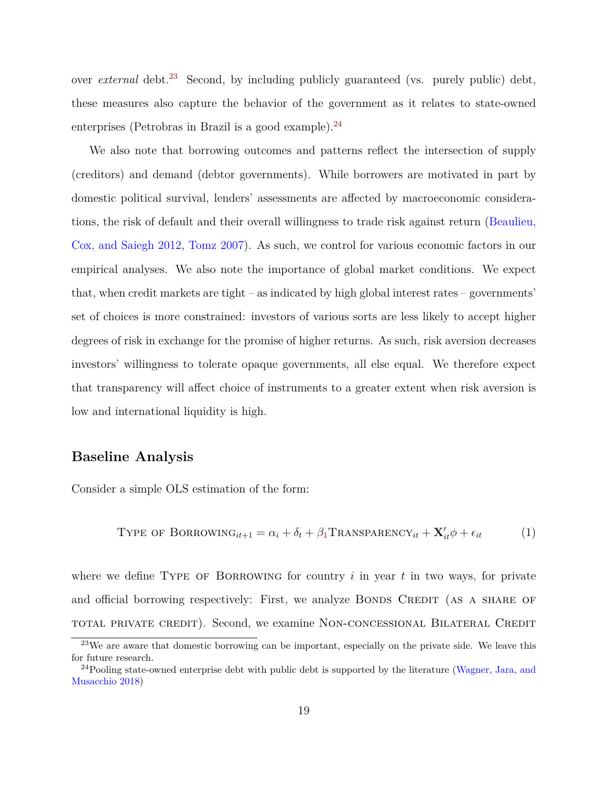over *external* debt.<sup>[23](#page-19-0)</sup> Second, by including publicly guaranteed (vs. purely public) debt, these measures also capture the behavior of the government as it relates to state-owned enterprises (Petrobras in Brazil is a good example). $^{24}$  $^{24}$  $^{24}$ 

We also note that borrowing outcomes and patterns reflect the intersection of supply (creditors) and demand (debtor governments). While borrowers are motivated in part by domestic political survival, lenders' assessments are affected by macroeconomic considerations, the risk of default and their overall willingness to trade risk against return ([Beaulieu,](#page-35-2) [Cox, and Saiegh](#page-35-2) [2012,](#page-35-2) [Tomz](#page-40-12) [2007\)](#page-40-12). As such, we control for various economic factors in our empirical analyses. We also note the importance of global market conditions. We expect that, when credit markets are tight – as indicated by high global interest rates – governments' set of choices is more constrained: investors of various sorts are less likely to accept higher degrees of risk in exchange for the promise of higher returns. As such, risk aversion decreases investors' willingness to tolerate opaque governments, all else equal. We therefore expect that transparency will affect choice of instruments to a greater extent when risk aversion is low and international liquidity is high.

### **Baseline Analysis**

Consider a simple OLS estimation of the form:

<span id="page-19-2"></span>
$$
Type of BORROWING_{it+1} = \alpha_i + \delta_t + \beta_1 TRANSPARENCY_{it} + \mathbf{X}'_{it} \phi + \epsilon_{it}
$$
 (1)

where we define TYPE OF BORROWING for country  $i$  in year  $t$  in two ways, for private and official borrowing respectively: First, we analyze BONDS CREDIT (AS A SHARE OF total private credit). Second, we examine Non-concessional Bilateral Credit

<span id="page-19-0"></span><sup>&</sup>lt;sup>23</sup>We are aware that domestic borrowing can be important, especially on the private side. We leave this for future research.

<span id="page-19-1"></span><sup>&</sup>lt;sup>24</sup>Pooling state-owned enterprise debt with public debt is supported by the literature ([Wagner, Jara, and](#page-41-4) [Musacchio](#page-41-4) [2018\)](#page-41-4)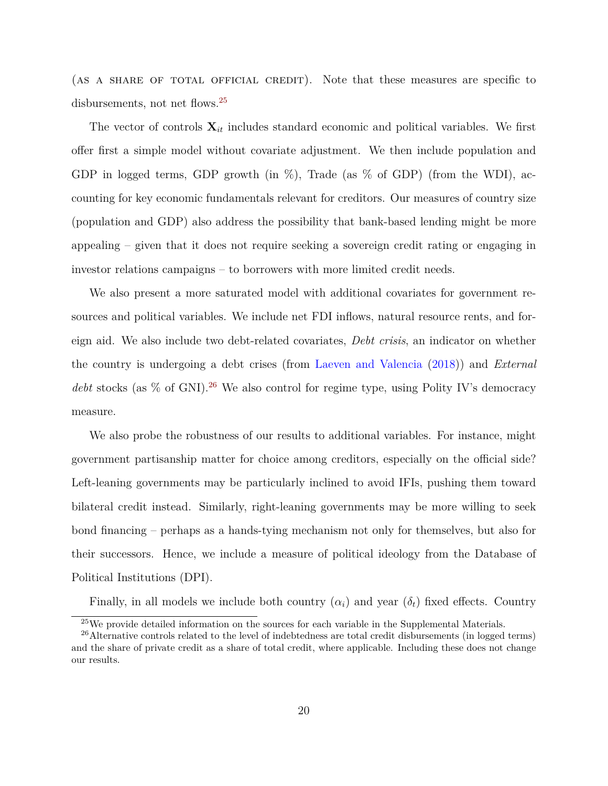(AS A SHARE OF TOTAL OFFICIAL CREDIT). Note that these measures are specific to disbursements, not net flows.<sup>[25](#page-20-0)</sup>

The vector of controls  $\mathbf{X}_{it}$  includes standard economic and political variables. We first offer first a simple model without covariate adjustment. We then include population and GDP in logged terms, GDP growth (in  $\%$ ), Trade (as  $\%$  of GDP) (from the WDI), accounting for key economic fundamentals relevant for creditors. Our measures of country size (population and GDP) also address the possibility that bank-based lending might be more appealing – given that it does not require seeking a sovereign credit rating or engaging in investor relations campaigns – to borrowers with more limited credit needs.

We also present a more saturated model with additional covariates for government resources and political variables. We include net FDI inflows, natural resource rents, and foreign aid. We also include two debt-related covariates, *Debt crisis*, an indicator on whether the country is undergoing a debt crises (from [Laeven and Valencia](#page-38-11) [\(2018\)](#page-38-11)) and *External debt* stocks (as  $\%$  of GNI).<sup>[26](#page-20-1)</sup> We also control for regime type, using Polity IV's democracy measure.

We also probe the robustness of our results to additional variables. For instance, might government partisanship matter for choice among creditors, especially on the official side? Left-leaning governments may be particularly inclined to avoid IFIs, pushing them toward bilateral credit instead. Similarly, right-leaning governments may be more willing to seek bond financing – perhaps as a hands-tying mechanism not only for themselves, but also for their successors. Hence, we include a measure of political ideology from the Database of Political Institutions (DPI).

Finally, in all models we include both country  $(\alpha_i)$  and year  $(\delta_t)$  fixed effects. Country

<span id="page-20-1"></span><span id="page-20-0"></span> $^{25}\rm{We}$  provide detailed information on the sources for each variable in the Supplemental Materials.

 $^{26}$ Alternative controls related to the level of indebtedness are total credit disbursements (in logged terms) and the share of private credit as a share of total credit, where applicable. Including these does not change our results.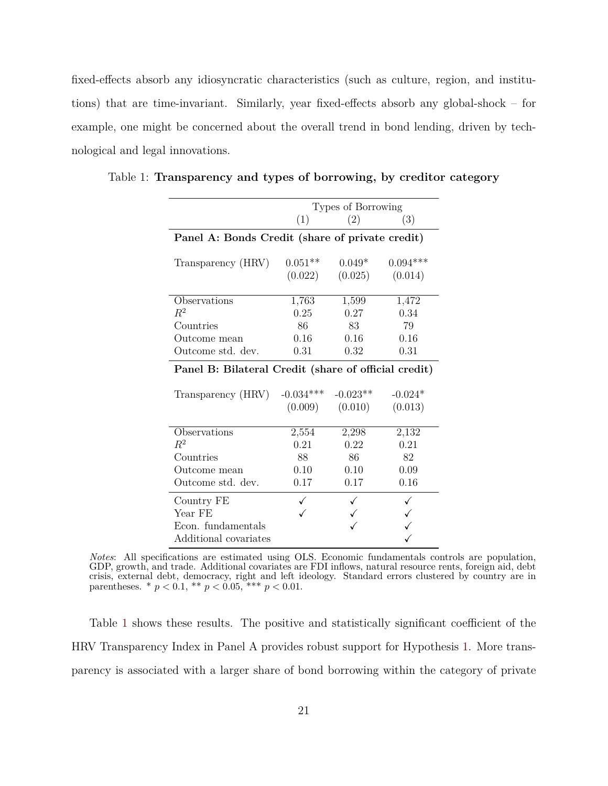fixed-effects absorb any idiosyncratic characteristics (such as culture, region, and institutions) that are time-invariant. Similarly, year fixed-effects absorb any global-shock – for example, one might be concerned about the overall trend in bond lending, driven by technological and legal innovations.

|                                                      |             | Types of Borrowing |            |  |
|------------------------------------------------------|-------------|--------------------|------------|--|
|                                                      | (1)         | (2)                | (3)        |  |
| Panel A: Bonds Credit (share of private credit)      |             |                    |            |  |
| Transparency (HRV)                                   | $0.051**$   | $0.049*$           | $0.094***$ |  |
|                                                      | (0.022)     | (0.025)            | (0.014)    |  |
|                                                      |             |                    |            |  |
| Observations                                         | 1,763       | 1,599              | 1,472      |  |
| $\,R^2$                                              | 0.25        | 0.27               | 0.34       |  |
| Countries                                            | 86          | 83                 | 79         |  |
| Outcome mean                                         | 0.16        | 0.16               | 0.16       |  |
| Outcome std. dev.                                    | 0.31        | 0.32               | 0.31       |  |
| Panel B: Bilateral Credit (share of official credit) |             |                    |            |  |
|                                                      |             |                    |            |  |
| Transparency (HRV)                                   | $-0.034***$ | $-0.023**$         | $-0.024*$  |  |
|                                                      | (0.009)     | (0.010)            | (0.013)    |  |
|                                                      |             |                    |            |  |
| Observations                                         | 2,554       | 2,298              | 2,132      |  |
| $\mathbb{R}^2$                                       | 0.21        | 0.22               | 0.21       |  |
| Countries                                            | 88          | 86                 | 82         |  |
| Outcome mean                                         | 0.10        | 0.10               | 0.09       |  |
| Outcome std. dev.                                    | $0.17\,$    | $0.17\,$           | 0.16       |  |
| Country FE                                           |             |                    |            |  |
| Year FE                                              |             |                    |            |  |
| Econ. fundamentals                                   |             |                    |            |  |
| Additional covariates                                |             |                    |            |  |

<span id="page-21-0"></span>Table 1: **Transparency and types of borrowing, by creditor category**

*Notes*: All specifications are estimated using OLS. Economic fundamentals controls are population, GDP, growth, and trade. Additional covariates are FDI inflows, natural resource rents, foreign aid, debt crisis, external debt, democracy, right and left ideology. Standard errors clustered by country are in parentheses.  $*$   $p < 0.1$ ,  $**$   $p < 0.05$ ,  $**$   $p < 0.01$ .

Table [1](#page-21-0) shows these results. The positive and statistically significant coefficient of the HRV Transparency Index in Panel A provides robust support for Hypothesis [1.](#page-15-1) More transparency is associated with a larger share of bond borrowing within the category of private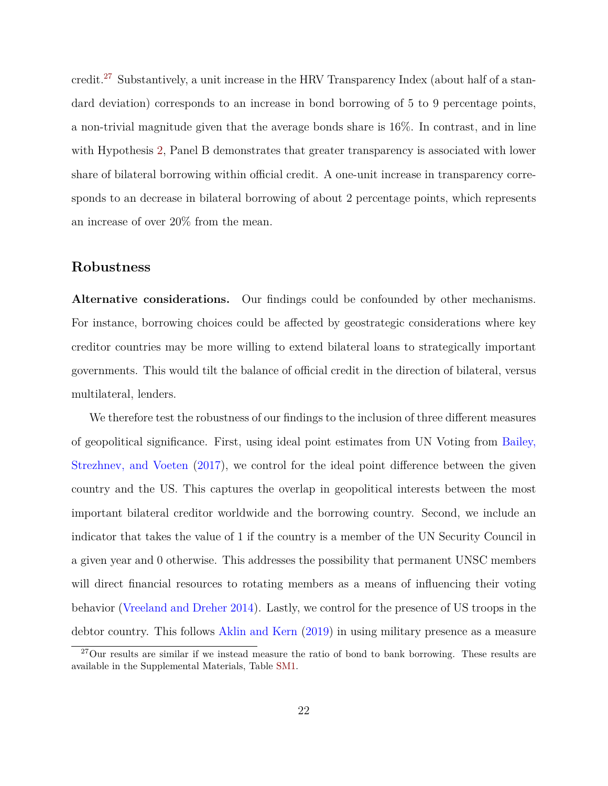credit.[27](#page-22-0) Substantively, a unit increase in the HRV Transparency Index (about half of a standard deviation) corresponds to an increase in bond borrowing of 5 to 9 percentage points, a non-trivial magnitude given that the average bonds share is 16%. In contrast, and in line with Hypothesis [2](#page-15-2), Panel B demonstrates that greater transparency is associated with lower share of bilateral borrowing within official credit. A one-unit increase in transparency corresponds to an decrease in bilateral borrowing of about 2 percentage points, which represents an increase of over 20% from the mean.

## **Robustness**

**Alternative considerations.** Our findings could be confounded by other mechanisms. For instance, borrowing choices could be affected by geostrategic considerations where key creditor countries may be more willing to extend bilateral loans to strategically important governments. This would tilt the balance of official credit in the direction of bilateral, versus multilateral, lenders.

We therefore test the robustness of our findings to the inclusion of three different measures of geopolitical significance. First, using ideal point estimates from UN Voting from [Bailey,](#page-35-11) [Strezhnev, and Voeten](#page-35-11) ([2017](#page-35-11)), we control for the ideal point difference between the given country and the US. This captures the overlap in geopolitical interests between the most important bilateral creditor worldwide and the borrowing country. Second, we include an indicator that takes the value of 1 if the country is a member of the UN Security Council in a given year and 0 otherwise. This addresses the possibility that permanent UNSC members will direct financial resources to rotating members as a means of influencing their voting behavior ([Vreeland and Dreher](#page-40-14) [2014\)](#page-40-14). Lastly, we control for the presence of US troops in the debtor country. This follows [Aklin and Kern](#page-35-12) ([2019](#page-35-12)) in using military presence as a measure

<span id="page-22-0"></span><sup>&</sup>lt;sup>27</sup>Our results are similar if we instead measure the ratio of bond to bank borrowing. These results are available in the Supplemental Materials, Table [SM1.](#page--1-0)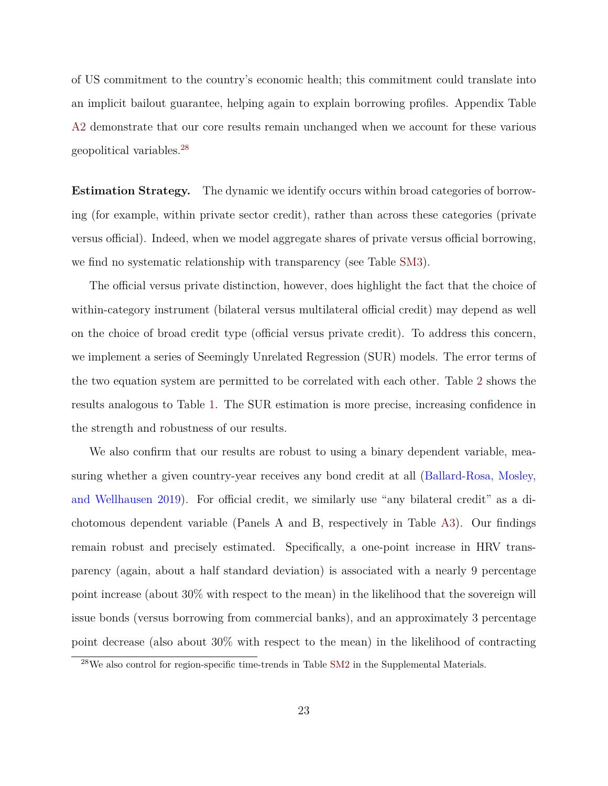of US commitment to the country's economic health; this commitment could translate into an implicit bailout guarantee, helping again to explain borrowing profiles. Appendix Table [A2](#page-43-0) demonstrate that our core results remain unchanged when we account for these various geopolitical variables.[28](#page-23-0)

**Estimation Strategy.** The dynamic we identify occurs within broad categories of borrowing (for example, within private sector credit), rather than across these categories (private versus official). Indeed, when we model aggregate shares of private versus official borrowing, we find no systematic relationship with transparency (see Table [SM3\)](#page--1-1).

The official versus private distinction, however, does highlight the fact that the choice of within-category instrument (bilateral versus multilateral official credit) may depend as well on the choice of broad credit type (official versus private credit). To address this concern, we implement a series of Seemingly Unrelated Regression (SUR) models. The error terms of the two equation system are permitted to be correlated with each other. Table [2](#page-24-0) shows the results analogous to Table [1](#page-21-0). The SUR estimation is more precise, increasing confidence in the strength and robustness of our results.

We also confirm that our results are robust to using a binary dependent variable, measuring whether a given country-year receives any bond credit at all ([Ballard-Rosa, Mosley,](#page-35-1) [and Wellhausen](#page-35-1) [2019](#page-35-1)). For official credit, we similarly use "any bilateral credit" as a dichotomous dependent variable (Panels A and B, respectively in Table [A3\)](#page-44-0). Our findings remain robust and precisely estimated. Specifically, a one-point increase in HRV transparency (again, about a half standard deviation) is associated with a nearly 9 percentage point increase (about 30% with respect to the mean) in the likelihood that the sovereign will issue bonds (versus borrowing from commercial banks), and an approximately 3 percentage point decrease (also about 30% with respect to the mean) in the likelihood of contracting

<span id="page-23-0"></span> $^{28}$ We also control for region-specific time-trends in Table [SM2](#page--1-2) in the Supplemental Materials.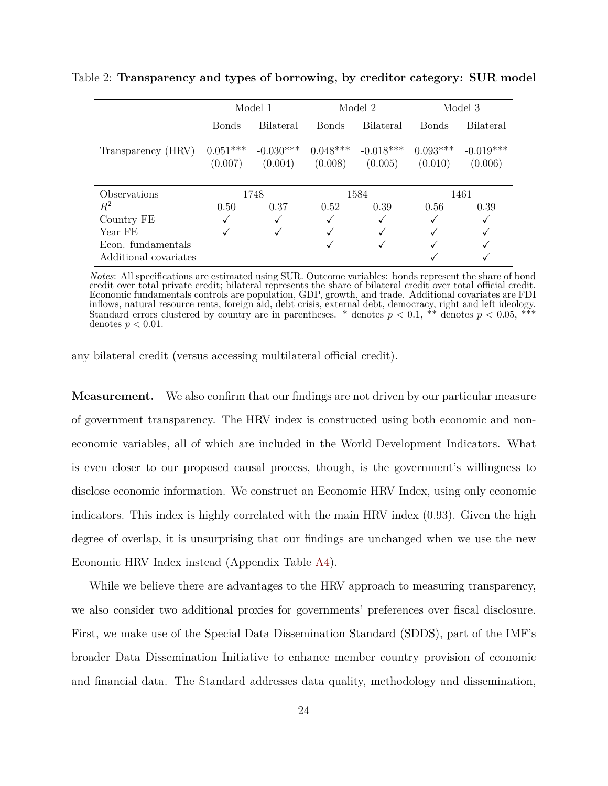|                       |                       | Model 1                | Model 2               |                        |                       | Model 3                |
|-----------------------|-----------------------|------------------------|-----------------------|------------------------|-----------------------|------------------------|
|                       | Bonds                 | <b>Bilateral</b>       | <b>Bonds</b>          | <b>Bilateral</b>       | <b>Bonds</b>          | <b>Bilateral</b>       |
| Transparency (HRV)    | $0.051***$<br>(0.007) | $-0.030***$<br>(0.004) | $0.048***$<br>(0.008) | $-0.018***$<br>(0.005) | $0.093***$<br>(0.010) | $-0.019***$<br>(0.006) |
| Observations          |                       | 1748                   |                       | 1584                   |                       | 1461                   |
| $\,R^2$               | 0.50                  | 0.37                   | 0.52                  | 0.39                   | 0.56                  | 0.39                   |
| Country FE            |                       |                        |                       |                        |                       |                        |
| Year FE               |                       |                        |                       |                        |                       |                        |
| Econ. fundamentals    |                       |                        |                       |                        |                       |                        |
| Additional covariates |                       |                        |                       |                        |                       |                        |

<span id="page-24-0"></span>Table 2: **Transparency and types of borrowing, by creditor category: SUR model**

*Notes*: All specifications are estimated using SUR. Outcome variables: bonds represent the share of bond credit over total private credit; bilateral represents the share of bilateral credit over total official credit. Economic fundamentals controls are population, GDP, growth, and trade. Additional covariates are FDI inflows, natural resource rents, foreign aid, debt crisis, external debt, democracy, right and left ideology. Standard errors clustered by country are in parentheses. \* denotes  $p < 0.1$ , \*\* denotes  $p < 0.05$ , \* denotes  $p < 0.01$ .

any bilateral credit (versus accessing multilateral official credit).

**Measurement.** We also confirm that our findings are not driven by our particular measure of government transparency. The HRV index is constructed using both economic and noneconomic variables, all of which are included in the World Development Indicators. What is even closer to our proposed causal process, though, is the government's willingness to disclose economic information. We construct an Economic HRV Index, using only economic indicators. This index is highly correlated with the main HRV index (0.93). Given the high degree of overlap, it is unsurprising that our findings are unchanged when we use the new Economic HRV Index instead (Appendix Table [A4](#page-45-0)).

While we believe there are advantages to the HRV approach to measuring transparency, we also consider two additional proxies for governments' preferences over fiscal disclosure. First, we make use of the Special Data Dissemination Standard (SDDS), part of the IMF's broader Data Dissemination Initiative to enhance member country provision of economic and financial data. The Standard addresses data quality, methodology and dissemination,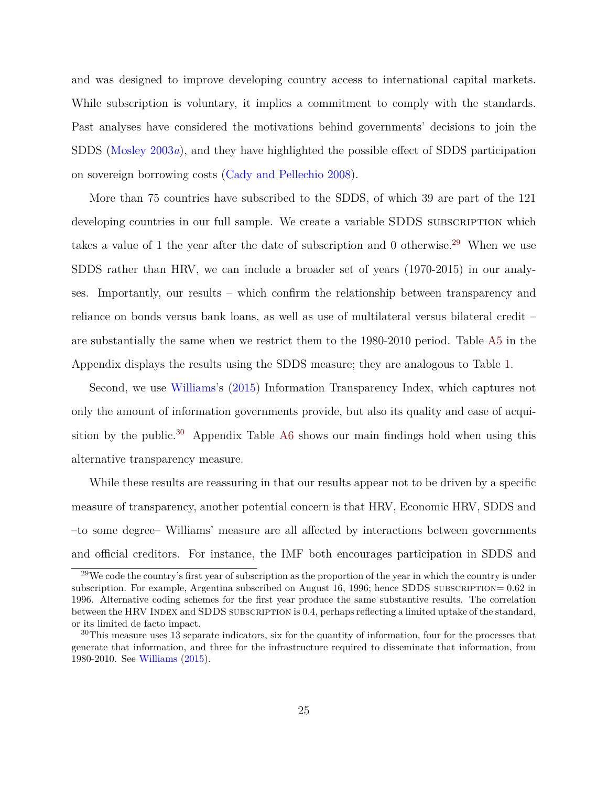and was designed to improve developing country access to international capital markets. While subscription is voluntary, it implies a commitment to comply with the standards. Past analyses have considered the motivations behind governments' decisions to join the SDDS ([Mosley](#page-39-13) [2003](#page-39-13)*a*), and they have highlighted the possible effect of SDDS participation on sovereign borrowing costs [\(Cady and Pellechio](#page-36-13) [2008](#page-36-13)).

More than 75 countries have subscribed to the SDDS, of which 39 are part of the 121 developing countries in our full sample. We create a variable SDDS SUBSCRIPTION which takes a value of 1 the year after the date of subscription and 0 otherwise.<sup>[29](#page-25-0)</sup> When we use SDDS rather than HRV, we can include a broader set of years (1970-2015) in our analyses. Importantly, our results – which confirm the relationship between transparency and reliance on bonds versus bank loans, as well as use of multilateral versus bilateral credit – are substantially the same when we restrict them to the 1980-2010 period. Table [A5](#page-46-0) in the Appendix displays the results using the SDDS measure; they are analogous to Table [1](#page-21-0).

Second, we use [Williams](#page-41-5)'s [\(2015\)](#page-41-5) Information Transparency Index, which captures not only the amount of information governments provide, but also its quality and ease of acqui-sition by the public.<sup>[30](#page-25-1)</sup> Appendix Table [A6](#page-47-0) shows our main findings hold when using this alternative transparency measure.

While these results are reassuring in that our results appear not to be driven by a specific measure of transparency, another potential concern is that HRV, Economic HRV, SDDS and –to some degree– Williams' measure are all affected by interactions between governments and official creditors. For instance, the IMF both encourages participation in SDDS and

<span id="page-25-0"></span><sup>&</sup>lt;sup>29</sup>We code the country's first year of subscription as the proportion of the year in which the country is under subscription. For example, Argentina subscribed on August 16, 1996; hence SDDS subscription= 0*.*62 in 1996. Alternative coding schemes for the first year produce the same substantive results. The correlation between the HRV INDEX and SDDS subscription is 0.4, perhaps reflecting a limited uptake of the standard, or its limited de facto impact.

<span id="page-25-1"></span> $30$ This measure uses 13 separate indicators, six for the quantity of information, four for the processes that generate that information, and three for the infrastructure required to disseminate that information, from 1980-2010. See [Williams](#page-41-5) ([2015\)](#page-41-5).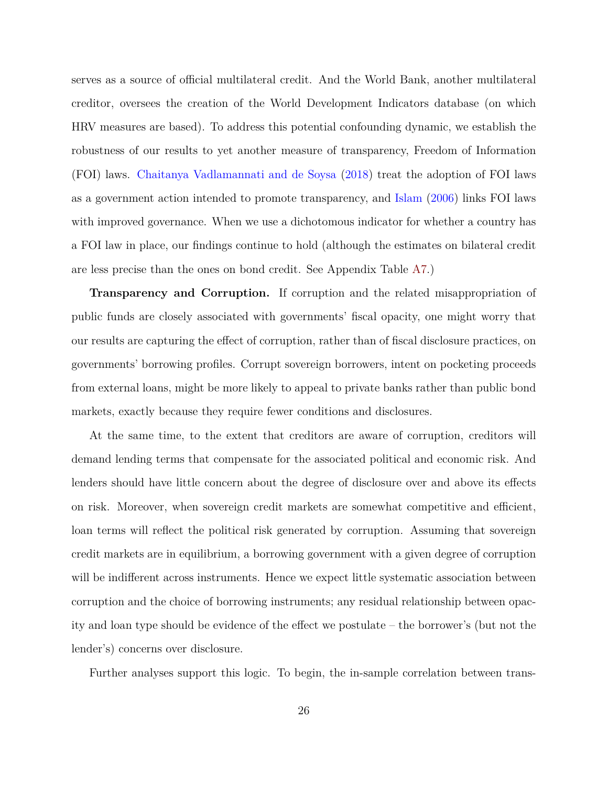serves as a source of official multilateral credit. And the World Bank, another multilateral creditor, oversees the creation of the World Development Indicators database (on which HRV measures are based). To address this potential confounding dynamic, we establish the robustness of our results to yet another measure of transparency, Freedom of Information (FOI) laws. [Chaitanya Vadlamannati and de Soysa](#page-36-14) ([2018](#page-36-14)) treat the adoption of FOI laws as a government action intended to promote transparency, and [Islam](#page-38-12) ([2006](#page-38-12)) links FOI laws with improved governance. When we use a dichotomous indicator for whether a country has a FOI law in place, our findings continue to hold (although the estimates on bilateral credit are less precise than the ones on bond credit. See Appendix Table [A7.](#page-48-0))

**Transparency and Corruption.** If corruption and the related misappropriation of public funds are closely associated with governments' fiscal opacity, one might worry that our results are capturing the effect of corruption, rather than of fiscal disclosure practices, on governments' borrowing profiles. Corrupt sovereign borrowers, intent on pocketing proceeds from external loans, might be more likely to appeal to private banks rather than public bond markets, exactly because they require fewer conditions and disclosures.

At the same time, to the extent that creditors are aware of corruption, creditors will demand lending terms that compensate for the associated political and economic risk. And lenders should have little concern about the degree of disclosure over and above its effects on risk. Moreover, when sovereign credit markets are somewhat competitive and efficient, loan terms will reflect the political risk generated by corruption. Assuming that sovereign credit markets are in equilibrium, a borrowing government with a given degree of corruption will be indifferent across instruments. Hence we expect little systematic association between corruption and the choice of borrowing instruments; any residual relationship between opacity and loan type should be evidence of the effect we postulate – the borrower's (but not the lender's) concerns over disclosure.

Further analyses support this logic. To begin, the in-sample correlation between trans-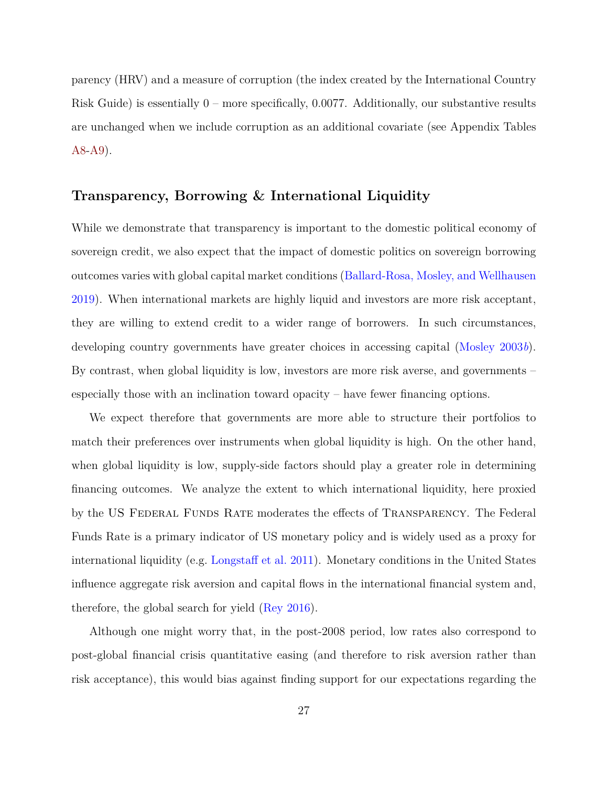parency (HRV) and a measure of corruption (the index created by the International Country Risk Guide) is essentially 0 – more specifically, 0*.*0077. Additionally, our substantive results are unchanged when we include corruption as an additional covariate (see Appendix Tables [A8-](#page-49-0)[A9](#page-50-0)).

## **Transparency, Borrowing & International Liquidity**

While we demonstrate that transparency is important to the domestic political economy of sovereign credit, we also expect that the impact of domestic politics on sovereign borrowing outcomes varies with global capital market conditions [\(Ballard-Rosa, Mosley, and Wellhausen](#page-35-1) [2019](#page-35-1)). When international markets are highly liquid and investors are more risk acceptant, they are willing to extend credit to a wider range of borrowers. In such circumstances, developing country governments have greater choices in accessing capital ([Mosley](#page-39-0) [2003](#page-39-0)*b*). By contrast, when global liquidity is low, investors are more risk averse, and governments – especially those with an inclination toward opacity – have fewer financing options.

We expect therefore that governments are more able to structure their portfolios to match their preferences over instruments when global liquidity is high. On the other hand, when global liquidity is low, supply-side factors should play a greater role in determining financing outcomes. We analyze the extent to which international liquidity, here proxied by the US Federal Funds Rate moderates the effects of Transparency. The Federal Funds Rate is a primary indicator of US monetary policy and is widely used as a proxy for international liquidity (e.g. [Longstaff et al.](#page-38-13) [2011](#page-38-13)). Monetary conditions in the United States influence aggregate risk aversion and capital flows in the international financial system and, therefore, the global search for yield [\(Rey](#page-39-14) [2016\)](#page-39-14).

Although one might worry that, in the post-2008 period, low rates also correspond to post-global financial crisis quantitative easing (and therefore to risk aversion rather than risk acceptance), this would bias against finding support for our expectations regarding the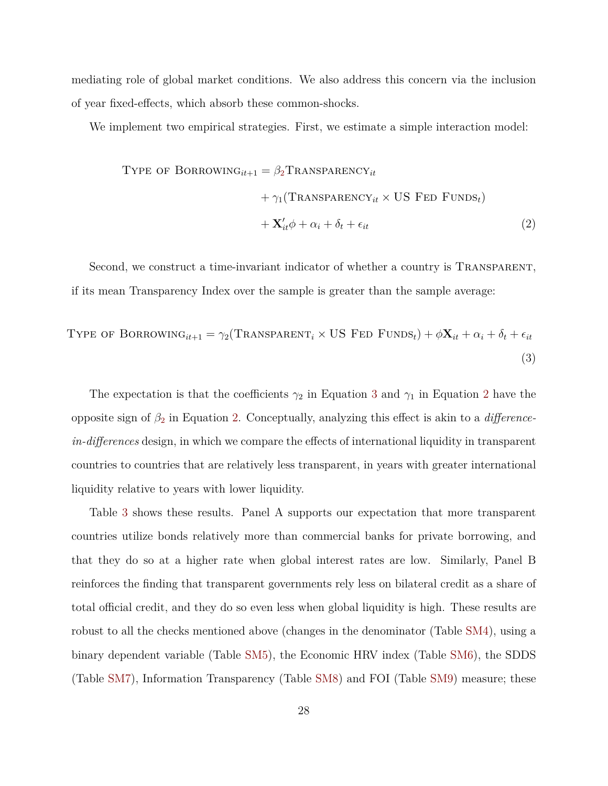mediating role of global market conditions. We also address this concern via the inclusion of year fixed-effects, which absorb these common-shocks.

We implement two empirical strategies. First, we estimate a simple interaction model:

<span id="page-28-1"></span><span id="page-28-0"></span>Type of BORROWING<sub>it+1</sub> = 
$$
\beta_2
$$
Transpaper<sub>it</sub>  
+  $\gamma_1$ (Transpaper<sub>it</sub> × US Feb FunDS<sub>t</sub>)  
+  $\mathbf{X}'_{it}\phi + \alpha_i + \delta_t + \epsilon_{it}$  (2)

Second, we construct a time-invariant indicator of whether a country is TRANSPARENT, if its mean Transparency Index over the sample is greater than the sample average:

Type of BORROWING<sub>it+1</sub> = 
$$
\gamma_2(\text{Transparent}_i \times \text{US} \text{ FED} \text{ FUNDS}_t) + \phi \mathbf{X}_{it} + \alpha_i + \delta_t + \epsilon_{it}
$$

\n(3)

The expectation is that the coefficients  $\gamma_2$  $\gamma_2$  in Equation [3](#page-28-1) and  $\gamma_1$  in Equation 2 have the opposite sign of *β*[2](#page-28-0) in Equation [2.](#page-28-0) Conceptually, analyzing this effect is akin to a *differencein-differences* design, in which we compare the effects of international liquidity in transparent countries to countries that are relatively less transparent, in years with greater international liquidity relative to years with lower liquidity.

Table [3](#page-29-0) shows these results. Panel A supports our expectation that more transparent countries utilize bonds relatively more than commercial banks for private borrowing, and that they do so at a higher rate when global interest rates are low. Similarly, Panel B reinforces the finding that transparent governments rely less on bilateral credit as a share of total official credit, and they do so even less when global liquidity is high. These results are robust to all the checks mentioned above (changes in the denominator (Table [SM4](#page--1-3)), using a binary dependent variable (Table [SM5\)](#page--1-4), the Economic HRV index (Table [SM6\)](#page--1-5), the SDDS (Table [SM7\)](#page--1-6), Information Transparency (Table [SM8\)](#page--1-7) and FOI (Table [SM9\)](#page--1-7) measure; these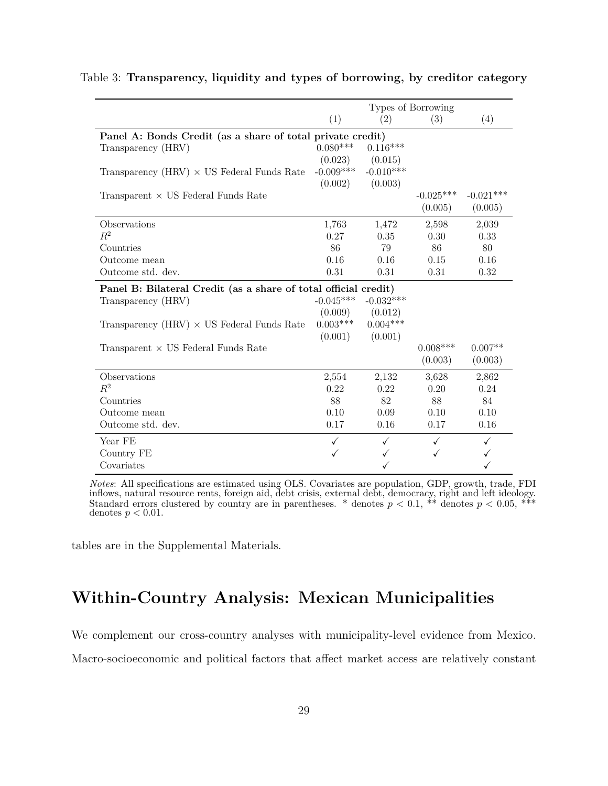|                                                                 |              |             | Types of Borrowing |             |
|-----------------------------------------------------------------|--------------|-------------|--------------------|-------------|
|                                                                 | (1)          | (2)         | (3)                | (4)         |
| Panel A: Bonds Credit (as a share of total private credit)      |              |             |                    |             |
| Transparency (HRV)                                              | $0.080***$   | $0.116***$  |                    |             |
|                                                                 | (0.023)      | (0.015)     |                    |             |
| Transparency (HRV) $\times$ US Federal Funds Rate               | $-0.009***$  | $-0.010***$ |                    |             |
|                                                                 | (0.002)      | (0.003)     |                    |             |
| Transparent $\times$ US Federal Funds Rate                      |              |             | $-0.025***$        | $-0.021***$ |
|                                                                 |              |             | (0.005)            | (0.005)     |
| Observations                                                    | 1,763        | 1,472       | 2,598              | 2,039       |
| $R^2$                                                           | 0.27         | 0.35        | 0.30               | 0.33        |
| Countries                                                       | 86           | 79          | 86                 | 80          |
| Outcome mean                                                    | 0.16         | 0.16        | 0.15               | 0.16        |
| Outcome std. dev.                                               | 0.31         | 0.31        | 0.31               | 0.32        |
| Panel B: Bilateral Credit (as a share of total official credit) |              |             |                    |             |
| Transparency (HRV)                                              | $-0.045***$  | $-0.032***$ |                    |             |
|                                                                 | (0.009)      | (0.012)     |                    |             |
| Transparency (HRV) $\times$ US Federal Funds Rate               | $0.003***$   | $0.004***$  |                    |             |
|                                                                 | (0.001)      | (0.001)     |                    |             |
| Transparent $\times$ US Federal Funds Rate                      |              |             | $0.008***$         | $0.007**$   |
|                                                                 |              |             | (0.003)            | (0.003)     |
| Observations                                                    | 2,554        | 2,132       | 3,628              | 2,862       |
| $R^2$                                                           | 0.22         | 0.22        | 0.20               | 0.24        |
| Countries                                                       | 88           | 82          | 88                 | 84          |
| Outcome mean                                                    | 0.10         | 0.09        | 0.10               | 0.10        |
| Outcome std. dev.                                               | 0.17         | 0.16        | 0.17               | 0.16        |
| Year FE                                                         | $\checkmark$ | ✓           | $\checkmark$       | ✓           |
| Country FE                                                      |              |             |                    |             |
| Covariates                                                      |              |             |                    |             |

#### <span id="page-29-0"></span>Table 3: **Transparency, liquidity and types of borrowing, by creditor category**

*Notes*: All specifications are estimated using OLS. Covariates are population, GDP, growth, trade, FDI inflows, natural resource rents, foreign aid, debt crisis, external debt, democracy, right and left ideology. Standard errors clustered by country are in parentheses. \* denotes  $p < 0.1$ , \*\* denotes  $p < 0.05$ , \*\*\* denotes  $p < 0.01$ .

tables are in the Supplemental Materials.

# **Within-Country Analysis: Mexican Municipalities**

We complement our cross-country analyses with municipality-level evidence from Mexico. Macro-socioeconomic and political factors that affect market access are relatively constant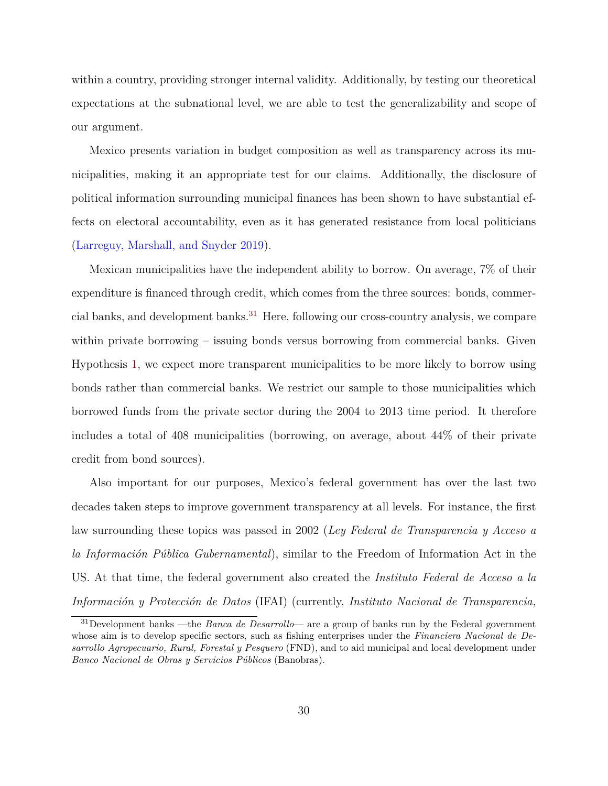within a country, providing stronger internal validity. Additionally, by testing our theoretical expectations at the subnational level, we are able to test the generalizability and scope of our argument.

Mexico presents variation in budget composition as well as transparency across its municipalities, making it an appropriate test for our claims. Additionally, the disclosure of political information surrounding municipal finances has been shown to have substantial effects on electoral accountability, even as it has generated resistance from local politicians ([Larreguy, Marshall, and Snyder](#page-38-14) [2019\)](#page-38-14).

Mexican municipalities have the independent ability to borrow. On average, 7% of their expenditure is financed through credit, which comes from the three sources: bonds, commercial banks, and development banks.[31](#page-30-0) Here, following our cross-country analysis, we compare within private borrowing – issuing bonds versus borrowing from commercial banks. Given Hypothesis [1](#page-15-1), we expect more transparent municipalities to be more likely to borrow using bonds rather than commercial banks. We restrict our sample to those municipalities which borrowed funds from the private sector during the 2004 to 2013 time period. It therefore includes a total of 408 municipalities (borrowing, on average, about 44% of their private credit from bond sources).

Also important for our purposes, Mexico's federal government has over the last two decades taken steps to improve government transparency at all levels. For instance, the first law surrounding these topics was passed in 2002 (*Ley Federal de Transparencia y Acceso a la Información Pública Gubernamental*), similar to the Freedom of Information Act in the US. At that time, the federal government also created the *Instituto Federal de Acceso a la Información y Protección de Datos* (IFAI) (currently, *Instituto Nacional de Transparencia,*

<span id="page-30-0"></span><sup>31</sup>Development banks —the *Banca de Desarrollo*— are a group of banks run by the Federal government whose aim is to develop specific sectors, such as fishing enterprises under the *Financiera Nacional de Desarrollo Agropecuario, Rural, Forestal y Pesquero* (FND), and to aid municipal and local development under *Banco Nacional de Obras y Servicios Públicos* (Banobras).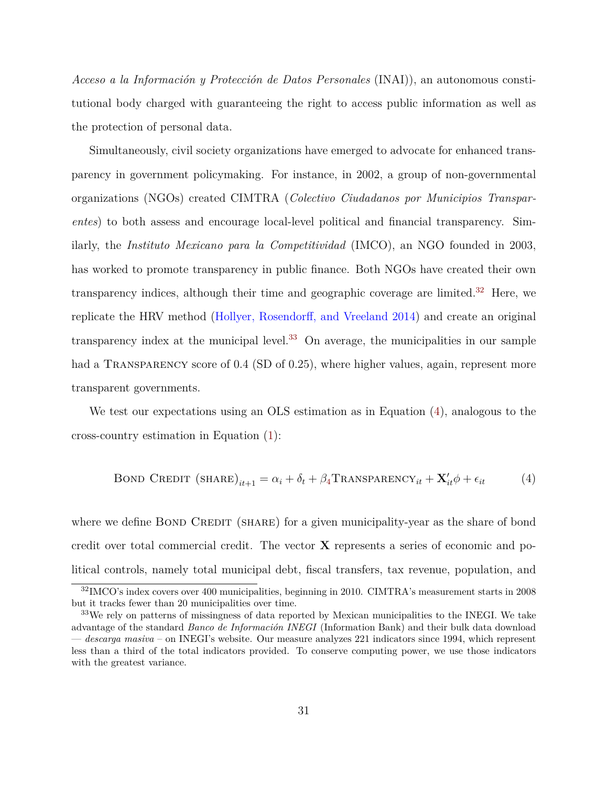*Acceso a la Información y Protección de Datos Personales* (INAI)), an autonomous constitutional body charged with guaranteeing the right to access public information as well as the protection of personal data.

Simultaneously, civil society organizations have emerged to advocate for enhanced transparency in government policymaking. For instance, in 2002, a group of non-governmental organizations (NGOs) created CIMTRA (*Colectivo Ciudadanos por Municipios Transparentes*) to both assess and encourage local-level political and financial transparency. Similarly, the *Instituto Mexicano para la Competitividad* (IMCO), an NGO founded in 2003, has worked to promote transparency in public finance. Both NGOs have created their own transparency indices, although their time and geographic coverage are limited.<sup>[32](#page-31-0)</sup> Here, we replicate the HRV method ([Hollyer, Rosendorff, and Vreeland](#page-37-11) [2014\)](#page-37-11) and create an original transparency index at the municipal level. $33$  On average, the municipalities in our sample had a TRANSPARENCY score of 0.4 (SD of 0.25), where higher values, again, represent more transparent governments.

We test our expectations using an OLS estimation as in Equation [\(4](#page-31-2)), analogous to the cross-country estimation in Equation ([1\)](#page-19-2):

<span id="page-31-2"></span>BOND CREDIT (SHARE)<sub>*it*+1</sub> = 
$$
\alpha_i + \delta_t + \beta_4
$$
Transparameter<sub>*it*</sub> +  $\mathbf{X}'_{it}\phi + \epsilon_{it}$  (4)

where we define BOND CREDIT (SHARE) for a given municipality-year as the share of bond credit over total commercial credit. The vector **X** represents a series of economic and political controls, namely total municipal debt, fiscal transfers, tax revenue, population, and

<span id="page-31-0"></span><sup>32</sup>IMCO's index covers over 400 municipalities, beginning in 2010. CIMTRA's measurement starts in 2008 but it tracks fewer than 20 municipalities over time.

<span id="page-31-1"></span><sup>&</sup>lt;sup>33</sup>We rely on patterns of missingness of data reported by Mexican municipalities to the INEGI. We take advantage of the standard *Banco de Información INEGI* (Information Bank) and their bulk data download — *descarga masiva* – on INEGI's website. Our measure analyzes 221 indicators since 1994, which represent less than a third of the total indicators provided. To conserve computing power, we use those indicators with the greatest variance.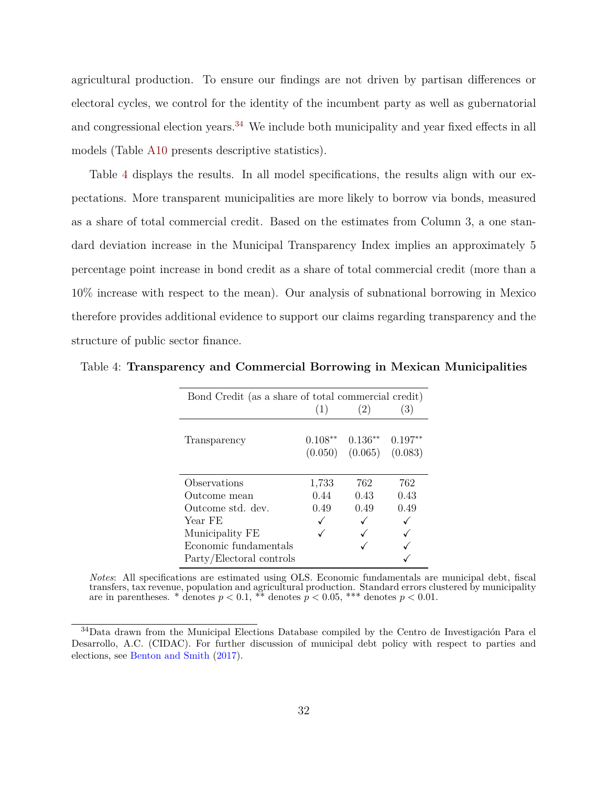agricultural production. To ensure our findings are not driven by partisan differences or electoral cycles, we control for the identity of the incumbent party as well as gubernatorial and congressional election years.<sup>[34](#page-32-0)</sup> We include both municipality and year fixed effects in all models (Table [A10](#page-51-0) presents descriptive statistics).

Table [4](#page-32-1) displays the results. In all model specifications, the results align with our expectations. More transparent municipalities are more likely to borrow via bonds, measured as a share of total commercial credit. Based on the estimates from Column 3, a one standard deviation increase in the Municipal Transparency Index implies an approximately 5 percentage point increase in bond credit as a share of total commercial credit (more than a 10% increase with respect to the mean). Our analysis of subnational borrowing in Mexico therefore provides additional evidence to support our claims regarding transparency and the structure of public sector finance.

| Bond Credit (as a share of total commercial credit) |           |           |           |
|-----------------------------------------------------|-----------|-----------|-----------|
|                                                     | (1)       | (2)       | (3)       |
| Transparency                                        | $0.108**$ | $0.136**$ | $0.197**$ |
|                                                     | (0.050)   | (0.065)   | (0.083)   |
|                                                     |           |           |           |
| Observations                                        | 1,733     | 762       | 762       |
| Outcome mean                                        | 0.44      | 0.43      | 0.43      |
| Outcome std. dev.                                   | 0.49      | 0.49      | 0.49      |
| Year FE                                             |           |           |           |
| Municipality FE                                     |           |           |           |
| Economic fundamentals                               |           |           |           |
| Party/Electoral controls                            |           |           |           |

<span id="page-32-1"></span>Table 4: **Transparency and Commercial Borrowing in Mexican Municipalities**

*Notes*: All specifications are estimated using OLS. Economic fundamentals are municipal debt, fiscal transfers, tax revenue, population and agricultural production. Standard errors clustered by municipality are in parentheses. \* denotes  $p < 0.1$ , \*\* denotes  $p < 0.05$ , \*\*\* denotes  $p < 0.01$ .

<span id="page-32-0"></span><sup>34</sup>Data drawn from the Municipal Elections Database compiled by the Centro de Investigación Para el Desarrollo, A.C. (CIDAC). For further discussion of municipal debt policy with respect to parties and elections, see [Benton and Smith](#page-35-13) [\(2017](#page-35-13)).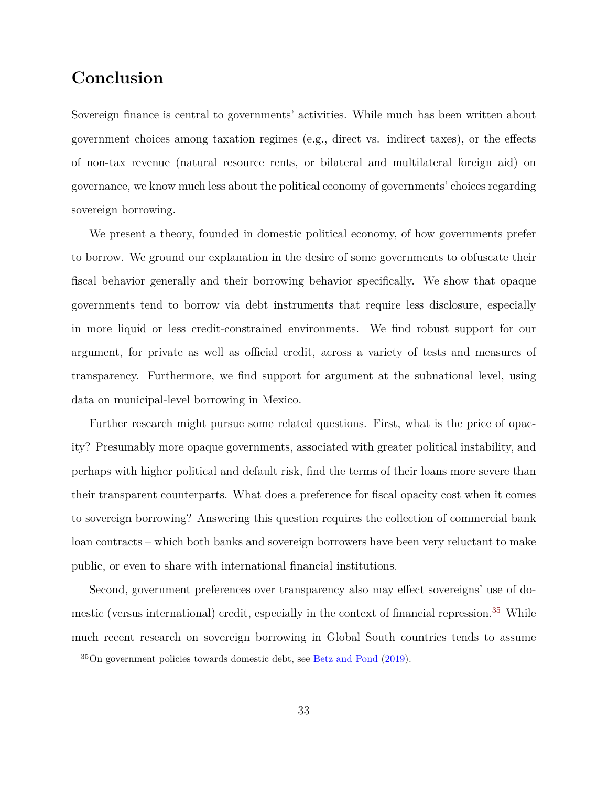# **Conclusion**

Sovereign finance is central to governments' activities. While much has been written about government choices among taxation regimes (e.g., direct vs. indirect taxes), or the effects of non-tax revenue (natural resource rents, or bilateral and multilateral foreign aid) on governance, we know much less about the political economy of governments' choices regarding sovereign borrowing.

We present a theory, founded in domestic political economy, of how governments prefer to borrow. We ground our explanation in the desire of some governments to obfuscate their fiscal behavior generally and their borrowing behavior specifically. We show that opaque governments tend to borrow via debt instruments that require less disclosure, especially in more liquid or less credit-constrained environments. We find robust support for our argument, for private as well as official credit, across a variety of tests and measures of transparency. Furthermore, we find support for argument at the subnational level, using data on municipal-level borrowing in Mexico.

Further research might pursue some related questions. First, what is the price of opacity? Presumably more opaque governments, associated with greater political instability, and perhaps with higher political and default risk, find the terms of their loans more severe than their transparent counterparts. What does a preference for fiscal opacity cost when it comes to sovereign borrowing? Answering this question requires the collection of commercial bank loan contracts – which both banks and sovereign borrowers have been very reluctant to make public, or even to share with international financial institutions.

Second, government preferences over transparency also may effect sovereigns' use of domestic (versus international) credit, especially in the context of financial repression.[35](#page-33-0) While much recent research on sovereign borrowing in Global South countries tends to assume

<span id="page-33-0"></span><sup>35</sup>On government policies towards domestic debt, see [Betz and Pond](#page-36-10) ([2019\)](#page-36-10).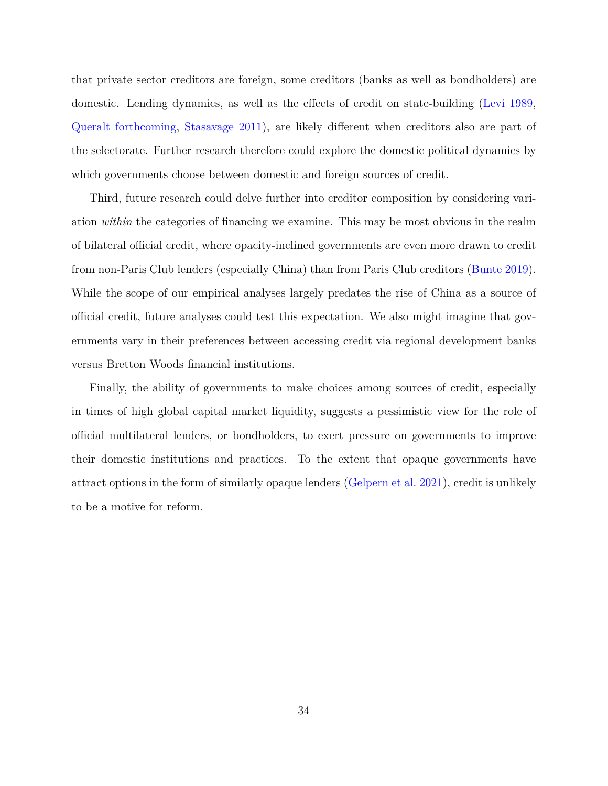that private sector creditors are foreign, some creditors (banks as well as bondholders) are domestic. Lending dynamics, as well as the effects of credit on state-building ([Levi](#page-38-2) [1989,](#page-38-2) [Queralt](#page-39-3) [forthcoming,](#page-39-3) [Stasavage](#page-40-1) [2011](#page-40-1)), are likely different when creditors also are part of the selectorate. Further research therefore could explore the domestic political dynamics by which governments choose between domestic and foreign sources of credit.

Third, future research could delve further into creditor composition by considering variation *within* the categories of financing we examine. This may be most obvious in the realm of bilateral official credit, where opacity-inclined governments are even more drawn to credit from non-Paris Club lenders (especially China) than from Paris Club creditors ([Bunte](#page-36-1) [2019](#page-36-1)). While the scope of our empirical analyses largely predates the rise of China as a source of official credit, future analyses could test this expectation. We also might imagine that governments vary in their preferences between accessing credit via regional development banks versus Bretton Woods financial institutions.

Finally, the ability of governments to make choices among sources of credit, especially in times of high global capital market liquidity, suggests a pessimistic view for the role of official multilateral lenders, or bondholders, to exert pressure on governments to improve their domestic institutions and practices. To the extent that opaque governments have attract options in the form of similarly opaque lenders ([Gelpern et al.](#page-37-10) [2021\)](#page-37-10), credit is unlikely to be a motive for reform.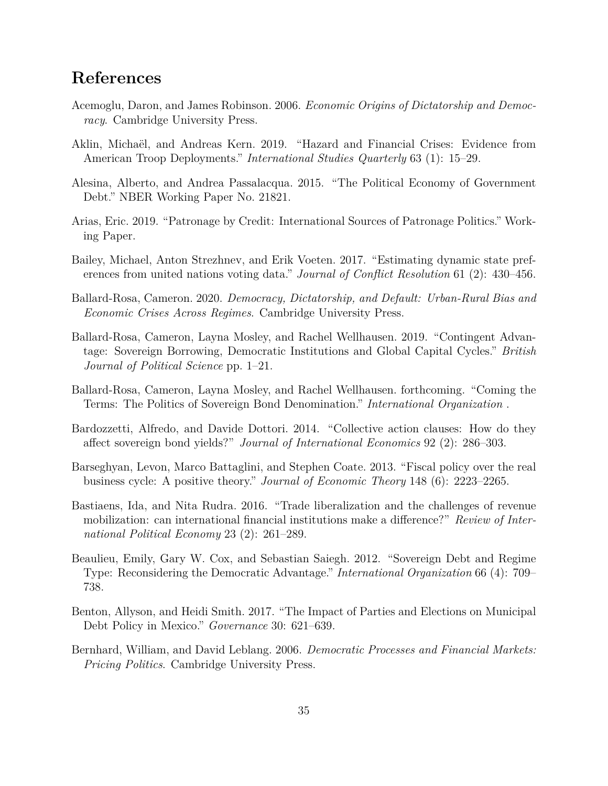# **References**

- <span id="page-35-3"></span>Acemoglu, Daron, and James Robinson. 2006. *Economic Origins of Dictatorship and Democracy*. Cambridge University Press.
- <span id="page-35-12"></span>Aklin, Michaël, and Andreas Kern. 2019. "Hazard and Financial Crises: Evidence from American Troop Deployments." *International Studies Quarterly* 63 (1): 15–29.
- <span id="page-35-4"></span>Alesina, Alberto, and Andrea Passalacqua. 2015. "The Political Economy of Government Debt." NBER Working Paper No. 21821.
- <span id="page-35-6"></span>Arias, Eric. 2019. "Patronage by Credit: International Sources of Patronage Politics." Working Paper.
- <span id="page-35-11"></span>Bailey, Michael, Anton Strezhnev, and Erik Voeten. 2017. "Estimating dynamic state preferences from united nations voting data." *Journal of Conflict Resolution* 61 (2): 430–456.
- <span id="page-35-0"></span>Ballard-Rosa, Cameron. 2020. *Democracy, Dictatorship, and Default: Urban-Rural Bias and Economic Crises Across Regimes*. Cambridge University Press.
- <span id="page-35-1"></span>Ballard-Rosa, Cameron, Layna Mosley, and Rachel Wellhausen. 2019. "Contingent Advantage: Sovereign Borrowing, Democratic Institutions and Global Capital Cycles." *British Journal of Political Science* pp. 1–21.
- <span id="page-35-10"></span>Ballard-Rosa, Cameron, Layna Mosley, and Rachel Wellhausen. forthcoming. "Coming the Terms: The Politics of Sovereign Bond Denomination." *International Organization* .
- <span id="page-35-8"></span>Bardozzetti, Alfredo, and Davide Dottori. 2014. "Collective action clauses: How do they affect sovereign bond yields?" *Journal of International Economics* 92 (2): 286–303.
- <span id="page-35-5"></span>Barseghyan, Levon, Marco Battaglini, and Stephen Coate. 2013. "Fiscal policy over the real business cycle: A positive theory." *Journal of Economic Theory* 148 (6): 2223–2265.
- <span id="page-35-7"></span>Bastiaens, Ida, and Nita Rudra. 2016. "Trade liberalization and the challenges of revenue mobilization: can international financial institutions make a difference?" *Review of International Political Economy* 23 (2): 261–289.
- <span id="page-35-2"></span>Beaulieu, Emily, Gary W. Cox, and Sebastian Saiegh. 2012. "Sovereign Debt and Regime Type: Reconsidering the Democratic Advantage." *International Organization* 66 (4): 709– 738.
- <span id="page-35-13"></span>Benton, Allyson, and Heidi Smith. 2017. "The Impact of Parties and Elections on Municipal Debt Policy in Mexico." *Governance* 30: 621–639.
- <span id="page-35-9"></span>Bernhard, William, and David Leblang. 2006. *Democratic Processes and Financial Markets: Pricing Politics*. Cambridge University Press.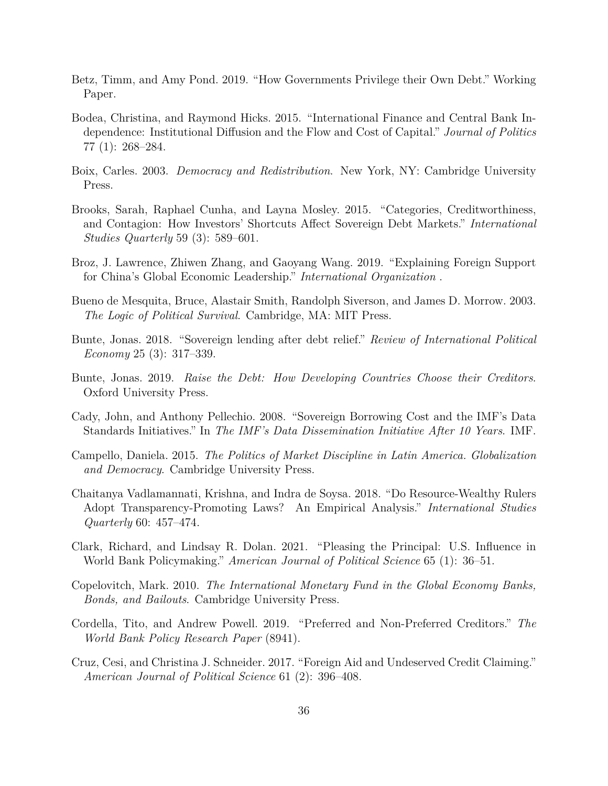- <span id="page-36-10"></span>Betz, Timm, and Amy Pond. 2019. "How Governments Privilege their Own Debt." Working Paper.
- <span id="page-36-4"></span>Bodea, Christina, and Raymond Hicks. 2015. "International Finance and Central Bank Independence: Institutional Diffusion and the Flow and Cost of Capital." *Journal of Politics* 77 (1): 268–284.
- <span id="page-36-2"></span>Boix, Carles. 2003. *Democracy and Redistribution*. New York, NY: Cambridge University Press.
- <span id="page-36-3"></span>Brooks, Sarah, Raphael Cunha, and Layna Mosley. 2015. "Categories, Creditworthiness, and Contagion: How Investors' Shortcuts Affect Sovereign Debt Markets." *International Studies Quarterly* 59 (3): 589–601.
- <span id="page-36-7"></span>Broz, J. Lawrence, Zhiwen Zhang, and Gaoyang Wang. 2019. "Explaining Foreign Support for China's Global Economic Leadership." *International Organization* .
- <span id="page-36-12"></span>Bueno de Mesquita, Bruce, Alastair Smith, Randolph Siverson, and James D. Morrow. 2003. *The Logic of Political Survival*. Cambridge, MA: MIT Press.
- <span id="page-36-11"></span>Bunte, Jonas. 2018. "Sovereign lending after debt relief." *Review of International Political Economy* 25 (3): 317–339.
- <span id="page-36-1"></span>Bunte, Jonas. 2019. *Raise the Debt: How Developing Countries Choose their Creditors*. Oxford University Press.
- <span id="page-36-13"></span>Cady, John, and Anthony Pellechio. 2008. "Sovereign Borrowing Cost and the IMF's Data Standards Initiatives." In *The IMF's Data Dissemination Initiative After 10 Years*. IMF.
- <span id="page-36-0"></span>Campello, Daniela. 2015. *The Politics of Market Discipline in Latin America. Globalization and Democracy*. Cambridge University Press.
- <span id="page-36-14"></span>Chaitanya Vadlamannati, Krishna, and Indra de Soysa. 2018. "Do Resource-Wealthy Rulers Adopt Transparency-Promoting Laws? An Empirical Analysis." *International Studies Quarterly* 60: 457–474.
- <span id="page-36-5"></span>Clark, Richard, and Lindsay R. Dolan. 2021. "Pleasing the Principal: U.S. Influence in World Bank Policymaking." *American Journal of Political Science* 65 (1): 36–51.
- <span id="page-36-6"></span>Copelovitch, Mark. 2010. *The International Monetary Fund in the Global Economy Banks, Bonds, and Bailouts*. Cambridge University Press.
- <span id="page-36-8"></span>Cordella, Tito, and Andrew Powell. 2019. "Preferred and Non-Preferred Creditors." *The World Bank Policy Research Paper* (8941).
- <span id="page-36-9"></span>Cruz, Cesi, and Christina J. Schneider. 2017. "Foreign Aid and Undeserved Credit Claiming." *American Journal of Political Science* 61 (2): 396–408.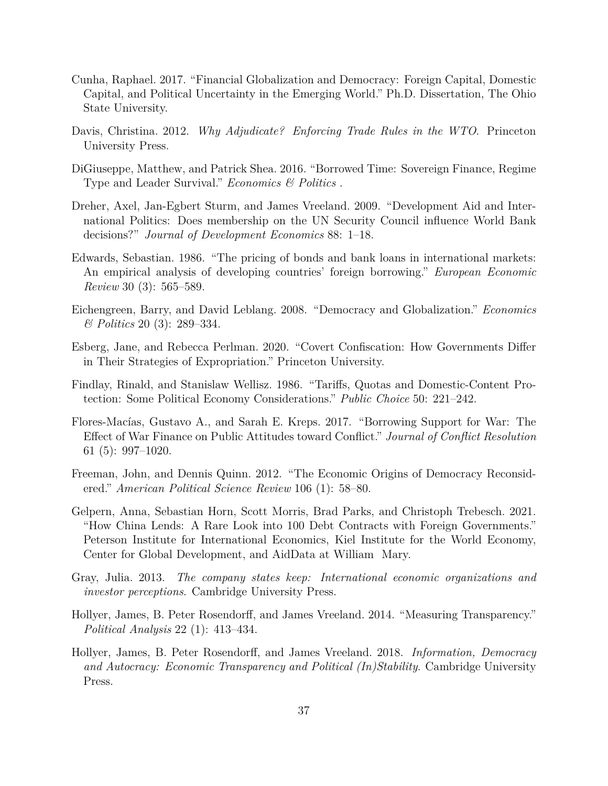- <span id="page-37-3"></span>Cunha, Raphael. 2017. "Financial Globalization and Democracy: Foreign Capital, Domestic Capital, and Political Uncertainty in the Emerging World." Ph.D. Dissertation, The Ohio State University.
- <span id="page-37-7"></span>Davis, Christina. 2012. *Why Adjudicate? Enforcing Trade Rules in the WTO*. Princeton University Press.
- <span id="page-37-1"></span>DiGiuseppe, Matthew, and Patrick Shea. 2016. "Borrowed Time: Sovereign Finance, Regime Type and Leader Survival." *Economics & Politics* .
- Dreher, Axel, Jan-Egbert Sturm, and James Vreeland. 2009. "Development Aid and International Politics: Does membership on the UN Security Council influence World Bank decisions?" *Journal of Development Economics* 88: 1–18.
- <span id="page-37-9"></span>Edwards, Sebastian. 1986. "The pricing of bonds and bank loans in international markets: An empirical analysis of developing countries' foreign borrowing." *European Economic Review* 30 (3): 565–589.
- <span id="page-37-4"></span>Eichengreen, Barry, and David Leblang. 2008. "Democracy and Globalization." *Economics & Politics* 20 (3): 289–334.
- <span id="page-37-8"></span>Esberg, Jane, and Rebecca Perlman. 2020. "Covert Confiscation: How Governments Differ in Their Strategies of Expropriation." Princeton University.
- <span id="page-37-6"></span>Findlay, Rinald, and Stanislaw Wellisz. 1986. "Tariffs, Quotas and Domestic-Content Protection: Some Political Economy Considerations." *Public Choice* 50: 221–242.
- <span id="page-37-0"></span>Flores-Macías, Gustavo A., and Sarah E. Kreps. 2017. "Borrowing Support for War: The Effect of War Finance on Public Attitudes toward Conflict." *Journal of Conflict Resolution* 61 (5): 997–1020.
- <span id="page-37-5"></span>Freeman, John, and Dennis Quinn. 2012. "The Economic Origins of Democracy Reconsidered." *American Political Science Review* 106 (1): 58–80.
- <span id="page-37-10"></span>Gelpern, Anna, Sebastian Horn, Scott Morris, Brad Parks, and Christoph Trebesch. 2021. "How China Lends: A Rare Look into 100 Debt Contracts with Foreign Governments." Peterson Institute for International Economics, Kiel Institute for the World Economy, Center for Global Development, and AidData at William Mary.
- <span id="page-37-2"></span>Gray, Julia. 2013. *The company states keep: International economic organizations and investor perceptions*. Cambridge University Press.
- <span id="page-37-11"></span>Hollyer, James, B. Peter Rosendorff, and James Vreeland. 2014. "Measuring Transparency." *Political Analysis* 22 (1): 413–434.
- <span id="page-37-12"></span>Hollyer, James, B. Peter Rosendorff, and James Vreeland. 2018. *Information, Democracy and Autocracy: Economic Transparency and Political (In)Stability*. Cambridge University Press.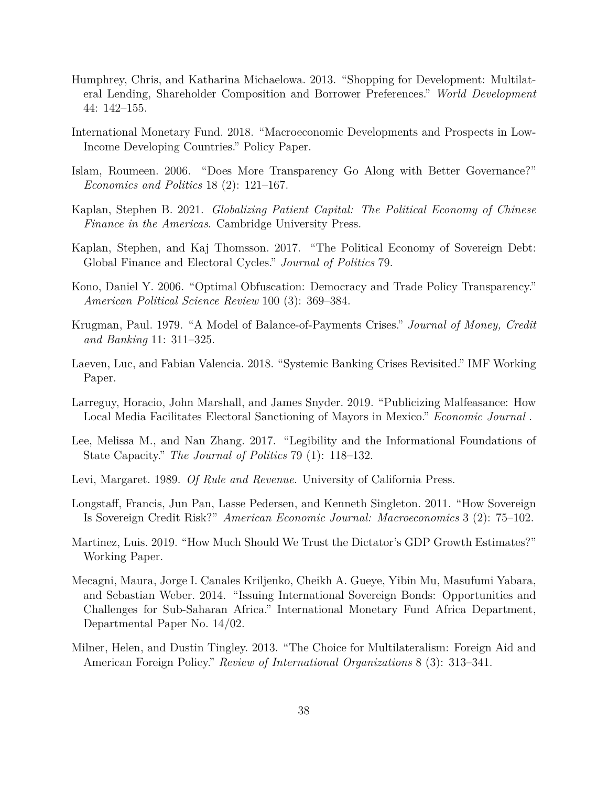- <span id="page-38-6"></span>Humphrey, Chris, and Katharina Michaelowa. 2013. "Shopping for Development: Multilateral Lending, Shareholder Composition and Borrower Preferences." *World Development* 44: 142–155.
- <span id="page-38-3"></span>International Monetary Fund. 2018. "Macroeconomic Developments and Prospects in Low-Income Developing Countries." Policy Paper.
- <span id="page-38-12"></span>Islam, Roumeen. 2006. "Does More Transparency Go Along with Better Governance?" *Economics and Politics* 18 (2): 121–167.
- <span id="page-38-1"></span>Kaplan, Stephen B. 2021. *Globalizing Patient Capital: The Political Economy of Chinese Finance in the Americas*. Cambridge University Press.
- <span id="page-38-0"></span>Kaplan, Stephen, and Kaj Thomsson. 2017. "The Political Economy of Sovereign Debt: Global Finance and Electoral Cycles." *Journal of Politics* 79.
- <span id="page-38-9"></span>Kono, Daniel Y. 2006. "Optimal Obfuscation: Democracy and Trade Policy Transparency." *American Political Science Review* 100 (3): 369–384.
- <span id="page-38-7"></span>Krugman, Paul. 1979. "A Model of Balance-of-Payments Crises." *Journal of Money, Credit and Banking* 11: 311–325.
- <span id="page-38-11"></span>Laeven, Luc, and Fabian Valencia. 2018. "Systemic Banking Crises Revisited." IMF Working Paper.
- <span id="page-38-14"></span>Larreguy, Horacio, John Marshall, and James Snyder. 2019. "Publicizing Malfeasance: How Local Media Facilitates Electoral Sanctioning of Mayors in Mexico." *Economic Journal* .
- <span id="page-38-8"></span>Lee, Melissa M., and Nan Zhang. 2017. "Legibility and the Informational Foundations of State Capacity." *The Journal of Politics* 79 (1): 118–132.
- <span id="page-38-2"></span>Levi, Margaret. 1989. *Of Rule and Revenue*. University of California Press.
- <span id="page-38-13"></span>Longstaff, Francis, Jun Pan, Lasse Pedersen, and Kenneth Singleton. 2011. "How Sovereign Is Sovereign Credit Risk?" *American Economic Journal: Macroeconomics* 3 (2): 75–102.
- <span id="page-38-10"></span>Martinez, Luis. 2019. "How Much Should We Trust the Dictator's GDP Growth Estimates?" Working Paper.
- <span id="page-38-4"></span>Mecagni, Maura, Jorge I. Canales Kriljenko, Cheikh A. Gueye, Yibin Mu, Masufumi Yabara, and Sebastian Weber. 2014. "Issuing International Sovereign Bonds: Opportunities and Challenges for Sub-Saharan Africa." International Monetary Fund Africa Department, Departmental Paper No. 14/02.
- <span id="page-38-5"></span>Milner, Helen, and Dustin Tingley. 2013. "The Choice for Multilateralism: Foreign Aid and American Foreign Policy." *Review of International Organizations* 8 (3): 313–341.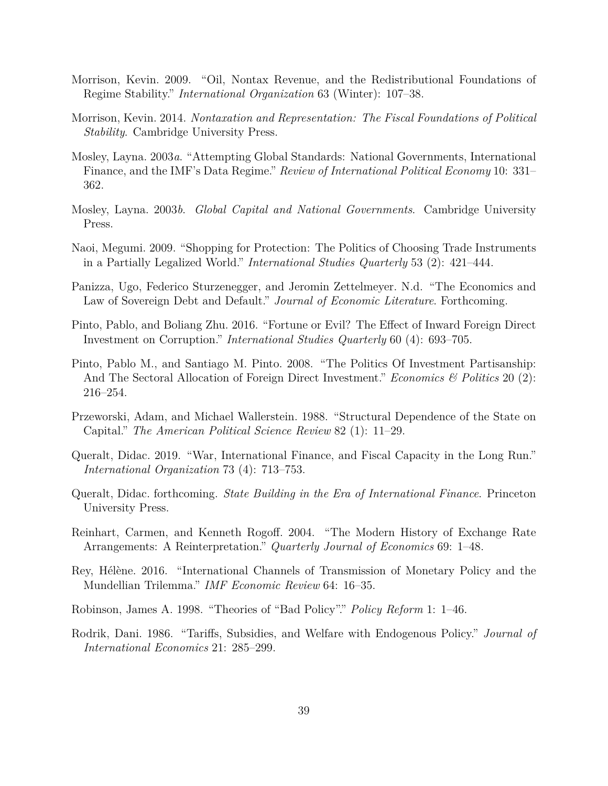- <span id="page-39-11"></span>Morrison, Kevin. 2009. "Oil, Nontax Revenue, and the Redistributional Foundations of Regime Stability." *International Organization* 63 (Winter): 107–38.
- <span id="page-39-2"></span>Morrison, Kevin. 2014. *Nontaxation and Representation: The Fiscal Foundations of Political Stability*. Cambridge University Press.
- <span id="page-39-13"></span>Mosley, Layna. 2003*a*. "Attempting Global Standards: National Governments, International Finance, and the IMF's Data Regime." *Review of International Political Economy* 10: 331– 362.
- <span id="page-39-0"></span>Mosley, Layna. 2003*b*. *Global Capital and National Governments*. Cambridge University Press.
- <span id="page-39-9"></span>Naoi, Megumi. 2009. "Shopping for Protection: The Politics of Choosing Trade Instruments in a Partially Legalized World." *International Studies Quarterly* 53 (2): 421–444.
- <span id="page-39-12"></span>Panizza, Ugo, Federico Sturzenegger, and Jeromin Zettelmeyer. N.d. "The Economics and Law of Sovereign Debt and Default." *Journal of Economic Literature*. Forthcoming.
- <span id="page-39-7"></span>Pinto, Pablo, and Boliang Zhu. 2016. "Fortune or Evil? The Effect of Inward Foreign Direct Investment on Corruption." *International Studies Quarterly* 60 (4): 693–705.
- <span id="page-39-10"></span>Pinto, Pablo M., and Santiago M. Pinto. 2008. "The Politics Of Investment Partisanship: And The Sectoral Allocation of Foreign Direct Investment." *Economics & Politics* 20 (2): 216–254.
- <span id="page-39-4"></span>Przeworski, Adam, and Michael Wallerstein. 1988. "Structural Dependence of the State on Capital." *The American Political Science Review* 82 (1): 11–29.
- <span id="page-39-1"></span>Queralt, Didac. 2019. "War, International Finance, and Fiscal Capacity in the Long Run." *International Organization* 73 (4): 713–753.
- <span id="page-39-3"></span>Queralt, Didac. forthcoming. *State Building in the Era of International Finance*. Princeton University Press.
- <span id="page-39-6"></span>Reinhart, Carmen, and Kenneth Rogoff. 2004. "The Modern History of Exchange Rate Arrangements: A Reinterpretation." *Quarterly Journal of Economics* 69: 1–48.
- <span id="page-39-14"></span>Rey, Hélène. 2016. "International Channels of Transmission of Monetary Policy and the Mundellian Trilemma." *IMF Economic Review* 64: 16–35.
- <span id="page-39-8"></span>Robinson, James A. 1998. "Theories of "Bad Policy"." *Policy Reform* 1: 1–46.
- <span id="page-39-5"></span>Rodrik, Dani. 1986. "Tariffs, Subsidies, and Welfare with Endogenous Policy." *Journal of International Economics* 21: 285–299.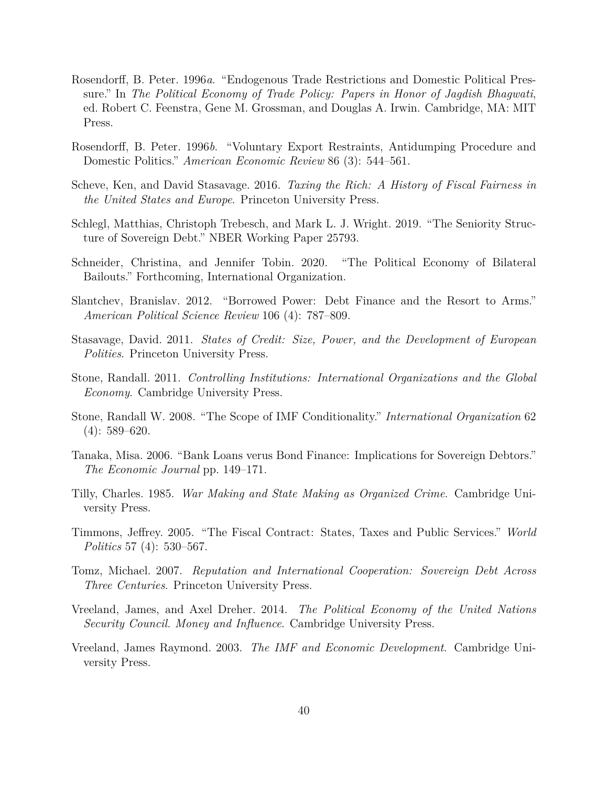- <span id="page-40-10"></span>Rosendorff, B. Peter. 1996*a*. "Endogenous Trade Restrictions and Domestic Political Pressure." In *The Political Economy of Trade Policy: Papers in Honor of Jagdish Bhagwati*, ed. Robert C. Feenstra, Gene M. Grossman, and Douglas A. Irwin. Cambridge, MA: MIT Press.
- <span id="page-40-11"></span>Rosendorff, B. Peter. 1996*b*. "Voluntary Export Restraints, Antidumping Procedure and Domestic Politics." *American Economic Review* 86 (3): 544–561.
- <span id="page-40-4"></span>Scheve, Ken, and David Stasavage. 2016. *Taxing the Rich: A History of Fiscal Fairness in the United States and Europe*. Princeton University Press.
- <span id="page-40-8"></span>Schlegl, Matthias, Christoph Trebesch, and Mark L. J. Wright. 2019. "The Seniority Structure of Sovereign Debt." NBER Working Paper 25793.
- <span id="page-40-6"></span>Schneider, Christina, and Jennifer Tobin. 2020. "The Political Economy of Bilateral Bailouts." Forthcoming, International Organization.
- <span id="page-40-3"></span>Slantchev, Branislav. 2012. "Borrowed Power: Debt Finance and the Resort to Arms." *American Political Science Review* 106 (4): 787–809.
- <span id="page-40-1"></span>Stasavage, David. 2011. *States of Credit: Size, Power, and the Development of European Polities*. Princeton University Press.
- <span id="page-40-7"></span>Stone, Randall. 2011. *Controlling Institutions: International Organizations and the Global Economy*. Cambridge University Press.
- <span id="page-40-0"></span>Stone, Randall W. 2008. "The Scope of IMF Conditionality." *International Organization* 62  $(4): 589 - 620.$
- <span id="page-40-13"></span>Tanaka, Misa. 2006. "Bank Loans verus Bond Finance: Implications for Sovereign Debtors." *The Economic Journal* pp. 149–171.
- <span id="page-40-2"></span>Tilly, Charles. 1985. *War Making and State Making as Organized Crime*. Cambridge University Press.
- <span id="page-40-5"></span>Timmons, Jeffrey. 2005. "The Fiscal Contract: States, Taxes and Public Services." *World Politics* 57 (4): 530–567.
- <span id="page-40-12"></span>Tomz, Michael. 2007. *Reputation and International Cooperation: Sovereign Debt Across Three Centuries*. Princeton University Press.
- <span id="page-40-14"></span>Vreeland, James, and Axel Dreher. 2014. *The Political Economy of the United Nations Security Council. Money and Influence*. Cambridge University Press.
- <span id="page-40-9"></span>Vreeland, James Raymond. 2003. *The IMF and Economic Development*. Cambridge University Press.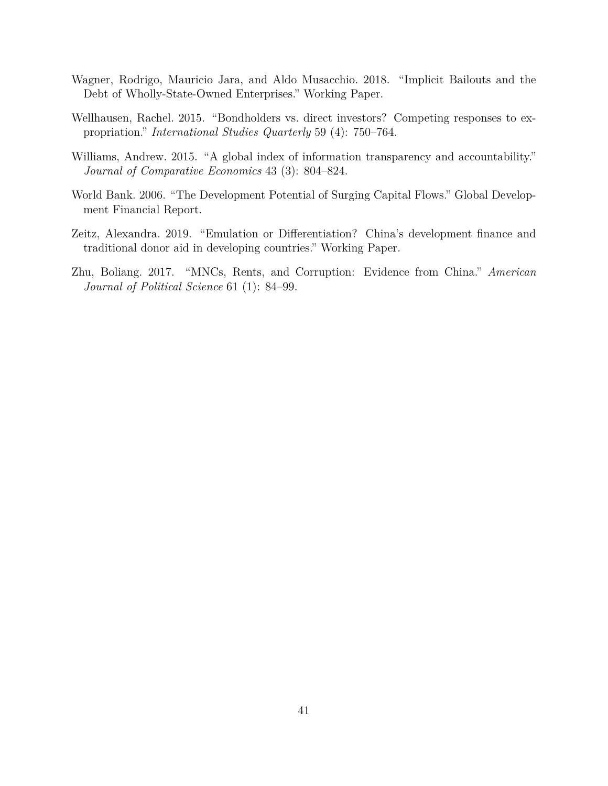- <span id="page-41-4"></span>Wagner, Rodrigo, Mauricio Jara, and Aldo Musacchio. 2018. "Implicit Bailouts and the Debt of Wholly-State-Owned Enterprises." Working Paper.
- <span id="page-41-1"></span>Wellhausen, Rachel. 2015. "Bondholders vs. direct investors? Competing responses to expropriation." *International Studies Quarterly* 59 (4): 750–764.
- <span id="page-41-5"></span>Williams, Andrew. 2015. "A global index of information transparency and accountability." *Journal of Comparative Economics* 43 (3): 804–824.
- <span id="page-41-3"></span>World Bank. 2006. "The Development Potential of Surging Capital Flows." Global Development Financial Report.
- <span id="page-41-0"></span>Zeitz, Alexandra. 2019. "Emulation or Differentiation? China's development finance and traditional donor aid in developing countries." Working Paper.
- <span id="page-41-2"></span>Zhu, Boliang. 2017. "MNCs, Rents, and Corruption: Evidence from China." *American Journal of Political Science* 61 (1): 84–99.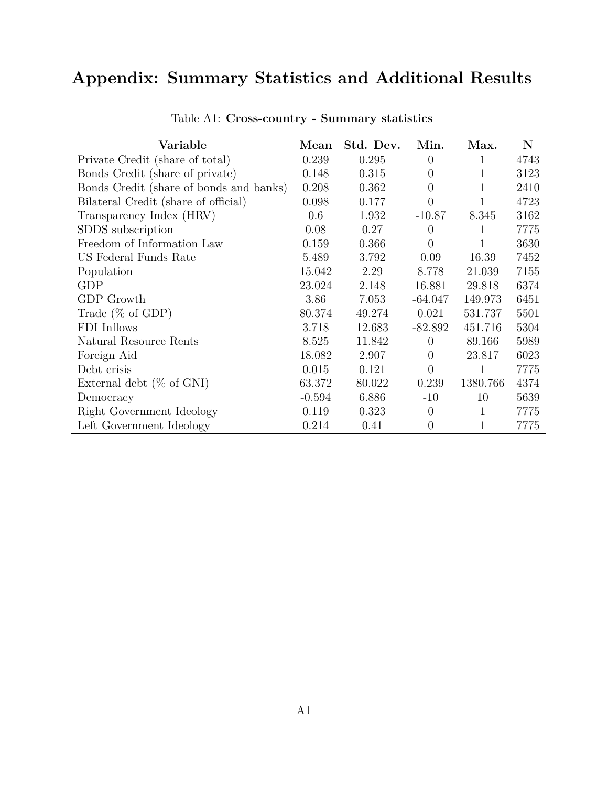# **Appendix: Summary Statistics and Additional Results**

| Variable                                | Mean     | Std. Dev. | Min.           | Max.         | N    |
|-----------------------------------------|----------|-----------|----------------|--------------|------|
| Private Credit (share of total)         | 0.239    | 0.295     | $\theta$       | 1            | 4743 |
| Bonds Credit (share of private)         | 0.148    | 0.315     | $\theta$       | 1            | 3123 |
| Bonds Credit (share of bonds and banks) | 0.208    | 0.362     | $\theta$       | 1            | 2410 |
| Bilateral Credit (share of official)    | 0.098    | 0.177     | $\theta$       | 1            | 4723 |
| Transparency Index (HRV)                | 0.6      | 1.932     | $-10.87$       | 8.345        | 3162 |
| SDDS subscription                       | 0.08     | 0.27      | $\theta$       | $\mathbf{1}$ | 7775 |
| Freedom of Information Law              | 0.159    | 0.366     | $\overline{0}$ | 1            | 3630 |
| US Federal Funds Rate                   | 5.489    | 3.792     | 0.09           | 16.39        | 7452 |
| Population                              | 15.042   | 2.29      | 8.778          | 21.039       | 7155 |
| GDP                                     | 23.024   | 2.148     | 16.881         | 29.818       | 6374 |
| GDP Growth                              | 3.86     | 7.053     | $-64.047$      | 149.973      | 6451 |
| Trade $(\%$ of GDP)                     | 80.374   | 49.274    | 0.021          | 531.737      | 5501 |
| FDI Inflows                             | 3.718    | 12.683    | $-82.892$      | 451.716      | 5304 |
| Natural Resource Rents                  | 8.525    | 11.842    | $\theta$       | 89.166       | 5989 |
| Foreign Aid                             | 18.082   | 2.907     | $\Omega$       | 23.817       | 6023 |
| Debt crisis                             | 0.015    | 0.121     | $\overline{0}$ | 1            | 7775 |
| External debt $(\%$ of GNI)             | 63.372   | 80.022    | 0.239          | 1380.766     | 4374 |
| Democracy                               | $-0.594$ | 6.886     | $-10$          | 10           | 5639 |
| Right Government Ideology               | 0.119    | 0.323     | $\overline{0}$ | $\mathbf{1}$ | 7775 |
| Left Government Ideology                | 0.214    | 0.41      | $\theta$       | 1            | 7775 |

Table A1: **Cross-country - Summary statistics**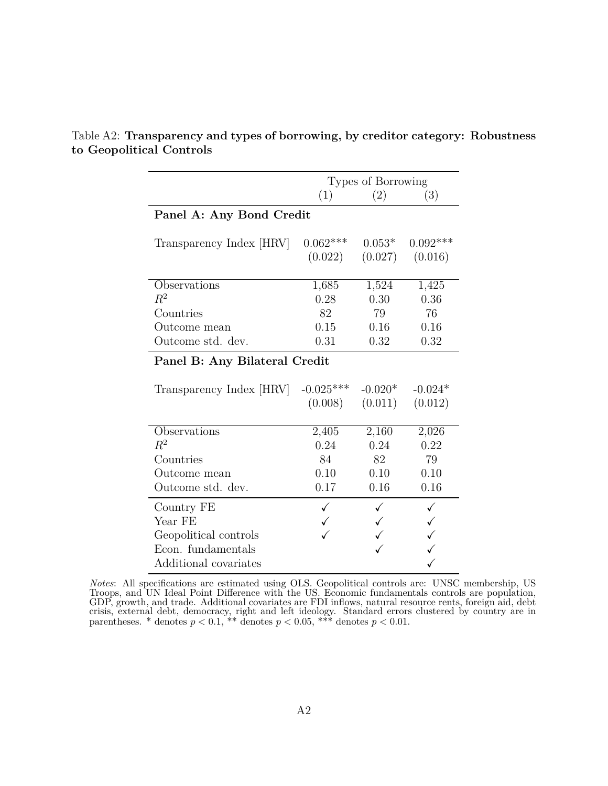|                               | Types of Borrowing |                     |               |  |  |
|-------------------------------|--------------------|---------------------|---------------|--|--|
|                               | (1)                | (2)                 | (3)           |  |  |
| Panel A: Any Bond Credit      |                    |                     |               |  |  |
|                               |                    |                     |               |  |  |
| Transparency Index [HRV]      | $0.062***$         | $0.053*$            | $0.092***$    |  |  |
|                               | (0.022)            | (0.027)             | (0.016)       |  |  |
| Observations                  |                    |                     |               |  |  |
| $R^2$                         | 1,685<br>0.28      | 1,524<br>0.30       | 1,425<br>0.36 |  |  |
| Countries                     | 82                 | 79                  | 76            |  |  |
| Outcome mean                  | 0.15               | 0.16                | 0.16          |  |  |
| Outcome std. dev.             | 0.31               | 0.32                | 0.32          |  |  |
|                               |                    |                     |               |  |  |
| Panel B: Any Bilateral Credit |                    |                     |               |  |  |
|                               |                    |                     |               |  |  |
| Transparency Index [HRV]      | $-0.025***$        | $-0.020*$           | $-0.024*$     |  |  |
|                               |                    | $(0.008)$ $(0.011)$ | (0.012)       |  |  |
| Observations                  | 2,405              | 2,160               | 2,026         |  |  |
| $R^2$                         | 0.24               | 0.24                | 0.22          |  |  |
| Countries                     | 84                 | 82                  | 79            |  |  |
| Outcome mean                  | 0.10               | 0.10                | 0.10          |  |  |
| Outcome std. dev.             | 0.17               | 0.16                | 0.16          |  |  |
|                               |                    |                     |               |  |  |
| Country FE                    | ✓                  |                     | ✓             |  |  |
| Year FE                       |                    |                     | $\checkmark$  |  |  |
| Geopolitical controls         |                    |                     | $\checkmark$  |  |  |
| Econ. fundamentals            |                    |                     |               |  |  |
| Additional covariates         |                    |                     |               |  |  |

<span id="page-43-0"></span>Table A2: **Transparency and types of borrowing, by creditor category: Robustness to Geopolitical Controls**

*Notes*: All specifications are estimated using OLS. Geopolitical controls are: UNSC membership, US Troops, and UN Ideal Point Difference with the US. Economic fundamentals controls are population, GDP, growth, and trade. Additional covariates are FDI inflows, natural resource rents, foreign aid, debt crisis, external debt, democracy, right and left ideology. Standard errors clustered by country are in parentheses. \* denotes  $p < 0.1$ , \*\* denotes  $p < 0.05$ , \*\*\* denotes  $p < 0.01$ .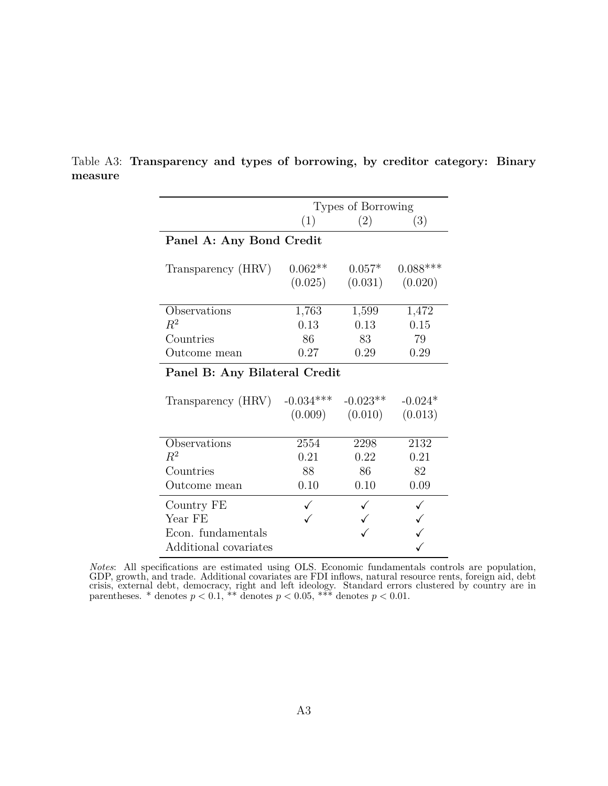|                               |             | Types of Borrowing |            |
|-------------------------------|-------------|--------------------|------------|
|                               | (1)         | (2)                | (3)        |
| Panel A: Any Bond Credit      |             |                    |            |
|                               |             |                    |            |
| Transparency (HRV)            | $0.062**$   | $0.057*$           | $0.088***$ |
|                               | (0.025)     | (0.031)            | (0.020)    |
|                               |             |                    |            |
| Observations                  | 1,763       | 1,599              | 1,472      |
| $R^2$                         | 0.13        | 0.13               | 0.15       |
| Countries                     | 86          | 83                 | 79         |
| Outcome mean                  | 0.27        | 0.29               | 0.29       |
| Panel B: Any Bilateral Credit |             |                    |            |
|                               |             |                    |            |
| Transparency (HRV)            | $-0.034***$ | $-0.023**$         | $-0.024*$  |
|                               | (0.009)     | (0.010)            | (0.013)    |
|                               |             |                    |            |
| Observations                  | 2554        | 2298               | 2132       |
| $R^2$                         | 0.21        | 0.22               | 0.21       |
| Countries                     | 88          | 86                 | 82         |
| Outcome mean                  | 0.10        | 0.10               | 0.09       |
| Country FE                    |             |                    |            |
| Year FE                       |             |                    |            |
| Econ. fundamentals            |             |                    |            |
| Additional covariates         |             |                    |            |

<span id="page-44-0"></span>Table A3: **Transparency and types of borrowing, by creditor category: Binary measure**

*Notes*: All specifications are estimated using OLS. Economic fundamentals controls are population, GDP, growth, and trade. Additional covariates are FDI inflows, natural resource rents, foreign aid, debt crisis, external debt, democracy, right and left ideology. Standard errors clustered by country are in parentheses. \* denotes  $p < 0.1$ , \*\* denotes  $p < 0.05$ , \*\*\* denotes  $p < 0.01$ .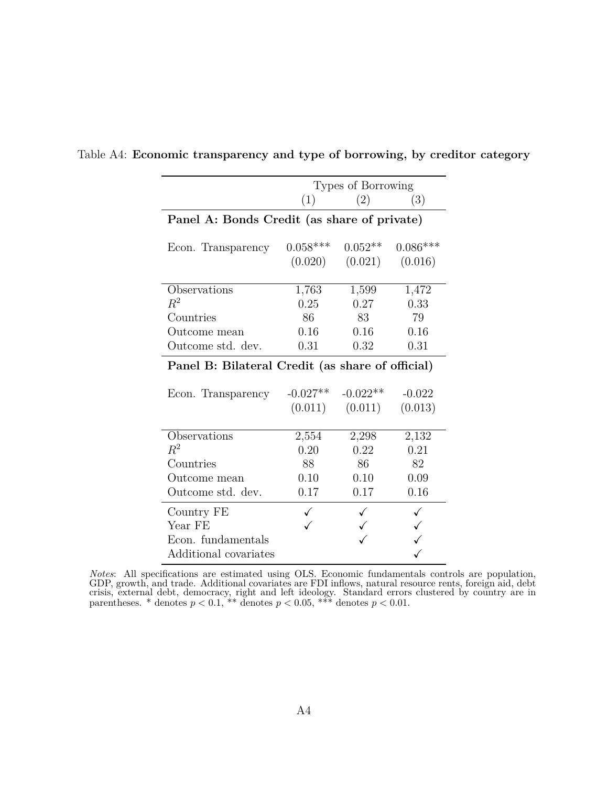|                                                  | Types of Borrowing |            |            |  |  |
|--------------------------------------------------|--------------------|------------|------------|--|--|
|                                                  | (1)                | (2)        | (3)        |  |  |
| Panel A: Bonds Credit (as share of private)      |                    |            |            |  |  |
|                                                  |                    |            |            |  |  |
| Econ. Transparency                               | $0.058***$         | $0.052**$  | $0.086***$ |  |  |
|                                                  | (0.020)            | (0.021)    | (0.016)    |  |  |
|                                                  |                    |            |            |  |  |
| Observations                                     | 1,763              | 1,599      | 1,472      |  |  |
| $R^2$                                            | 0.25               | 0.27       | 0.33       |  |  |
| Countries                                        | 86                 | 83         | 79         |  |  |
| Outcome mean                                     | 0.16               | 0.16       | 0.16       |  |  |
| Outcome std. dev.                                | 0.31               | 0.32       | 0.31       |  |  |
| Panel B: Bilateral Credit (as share of official) |                    |            |            |  |  |
|                                                  |                    |            |            |  |  |
| Econ. Transparency                               | $-0.027**$         | $-0.022**$ | $-0.022$   |  |  |
|                                                  | (0.011)            | (0.011)    | (0.013)    |  |  |
|                                                  |                    |            |            |  |  |
| Observations                                     | 2,554              | 2,298      | 2,132      |  |  |
| $R^2$                                            | 0.20               | 0.22       | 0.21       |  |  |
| Countries                                        | 88                 | 86         | 82         |  |  |
| Outcome mean                                     | 0.10               | 0.10       | 0.09       |  |  |
| Outcome std. dev.                                | 0.17               | 0.17       | 0.16       |  |  |
| Country FE                                       |                    |            |            |  |  |
| Year FE                                          |                    |            |            |  |  |
| Econ. fundamentals                               |                    |            |            |  |  |
| Additional covariates                            |                    |            |            |  |  |

## <span id="page-45-0"></span>Table A4: **Economic transparency and type of borrowing, by creditor category**

*Notes*: All specifications are estimated using OLS. Economic fundamentals controls are population, GDP, growth, and trade. Additional covariates are FDI inflows, natural resource rents, foreign aid, debt crisis, external debt, democracy, right and left ideology. Standard errors clustered by country are in parentheses. \* denotes  $p < 0.1$ , \*\* denotes  $p < 0.05$ , \*\*\* denotes  $p < 0.01$ .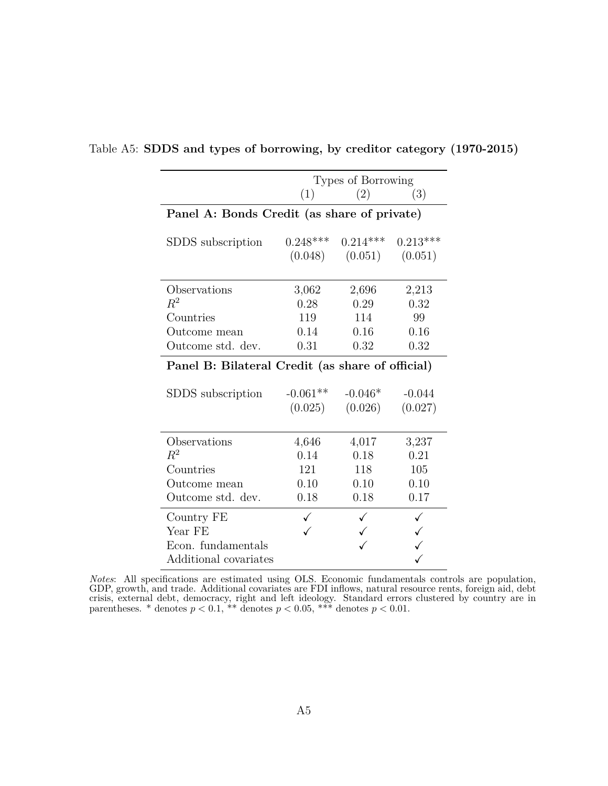|                                                  |            | Types of Borrowing |            |  |  |
|--------------------------------------------------|------------|--------------------|------------|--|--|
|                                                  | (1)        | (2)                | (3)        |  |  |
| Panel A: Bonds Credit (as share of private)      |            |                    |            |  |  |
|                                                  |            |                    |            |  |  |
| SDDS subscription                                | $0.248***$ | $0.214***$         | $0.213***$ |  |  |
|                                                  | (0.048)    | (0.051)            | (0.051)    |  |  |
|                                                  |            |                    |            |  |  |
| Observations                                     | 3,062      | 2,696              | 2,213      |  |  |
| $\,R^2$                                          | 0.28       | 0.29               | 0.32       |  |  |
| Countries                                        | 119        | 114                | 99         |  |  |
| Outcome mean                                     | 0.14       | 0.16               | 0.16       |  |  |
| Outcome std. dev.                                | 0.31       | 0.32               | 0.32       |  |  |
| Panel B: Bilateral Credit (as share of official) |            |                    |            |  |  |
|                                                  |            |                    |            |  |  |
| SDDS subscription                                | $-0.061**$ | $-0.046*$          | $-0.044$   |  |  |
|                                                  | (0.025)    | (0.026)            | (0.027)    |  |  |
|                                                  |            |                    |            |  |  |
| Observations                                     | 4,646      | 4,017              | 3,237      |  |  |
| $R^2$                                            | 0.14       | 0.18               | 0.21       |  |  |
| Countries                                        | 121        | 118                | 105        |  |  |
| Outcome mean                                     | 0.10       | 0.10               | 0.10       |  |  |
| Outcome std. dev.                                | 0.18       | 0.18               | 0.17       |  |  |
| Country FE                                       |            |                    |            |  |  |
| Year FE                                          |            |                    |            |  |  |
| Econ. fundamentals                               |            |                    |            |  |  |
| Additional covariates                            |            |                    |            |  |  |

<span id="page-46-0"></span>Table A5: **SDDS and types of borrowing, by creditor category (1970-2015)**

*Notes*: All specifications are estimated using OLS. Economic fundamentals controls are population, GDP, growth, and trade. Additional covariates are FDI inflows, natural resource rents, foreign aid, debt crisis, external debt, democracy, right and left ideology. Standard errors clustered by country are in parentheses. \* denotes  $p < 0.1$ , \*\* denotes  $p < 0.05$ , \*\*\* denotes  $p < 0.01$ .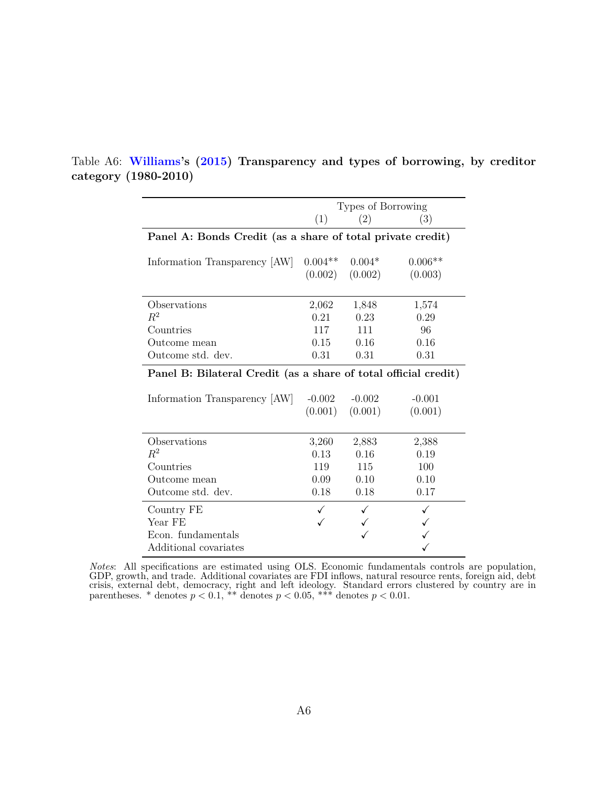|                                                                      | Types of Borrowing |          |           |  |
|----------------------------------------------------------------------|--------------------|----------|-----------|--|
|                                                                      | (1)                | (2)      | (3)       |  |
| Panel A: Bonds Credit (as a share of total private credit)           |                    |          |           |  |
| Information Transparency [AW]                                        | $0.004**$          | $0.004*$ | $0.006**$ |  |
|                                                                      | (0.002)            | (0.002)  | (0.003)   |  |
| Observations                                                         | 2,062              | 1,848    | 1,574     |  |
| $R^2$                                                                | 0.21               | 0.23     | 0.29      |  |
| Countries                                                            | 117                | 111      | 96        |  |
| Outcome mean                                                         | 0.15               | 0.16     | 0.16      |  |
| Outcome std. dev.                                                    | 0.31               | 0.31     | 0.31      |  |
| Panel B: Bilateral Credit (as a share of total official credit)      | $-0.002$           | $-0.002$ | $-0.001$  |  |
| Information Transparency [AW]                                        | (0.001)            | (0.001)  | (0.001)   |  |
| Observations                                                         | 3,260              | 2,883    | 2,388     |  |
| $\,R^2$                                                              | 0.13               | 0.16     | 0.19      |  |
| Countries                                                            | 119                | 115      | 100       |  |
| Outcome mean                                                         | 0.09               | 0.10     | 0.10      |  |
| Outcome std. dev.                                                    | 0.18               | 0.18     | 0.17      |  |
| Country FE<br>Year FE<br>Econ. fundamentals<br>Additional covariates |                    |          |           |  |

<span id="page-47-0"></span>Table A6: **[Williams](#page-41-5)'s ([2015\)](#page-41-5) Transparency and types of borrowing, by creditor category (1980-2010)**

*Notes*: All specifications are estimated using OLS. Economic fundamentals controls are population, GDP, growth, and trade. Additional covariates are FDI inflows, natural resource rents, foreign aid, debt crisis, external debt, democracy, right and left ideology. Standard errors clustered by country are in parentheses. \* denotes  $p < 0.1$ , \*\* denotes  $p < 0.05$ , \*\*\* denotes  $p < 0.01$ .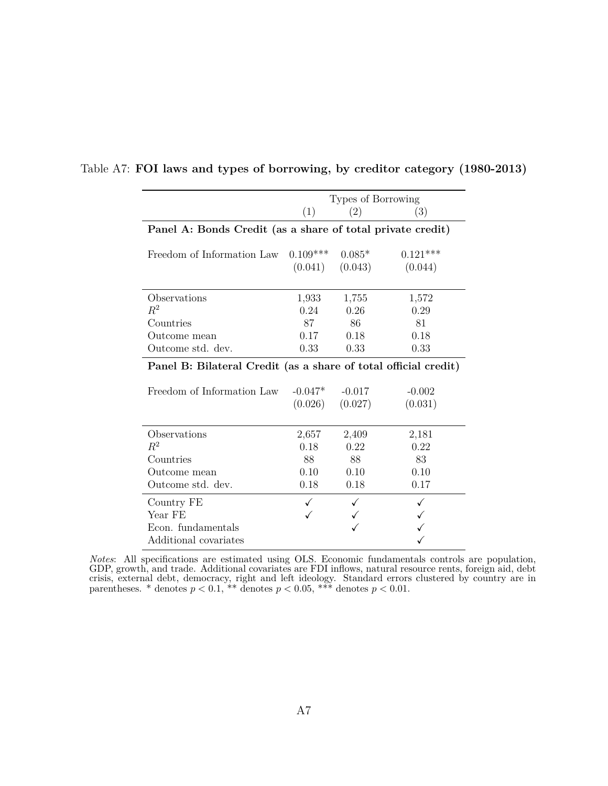|                                                                 | Types of Borrowing |          |            |  |  |
|-----------------------------------------------------------------|--------------------|----------|------------|--|--|
|                                                                 | (1)                | (2)      | (3)        |  |  |
| Panel A: Bonds Credit (as a share of total private credit)      |                    |          |            |  |  |
|                                                                 |                    |          |            |  |  |
| Freedom of Information Law                                      | $0.109***$         | $0.085*$ | $0.121***$ |  |  |
|                                                                 | (0.041)            | (0.043)  | (0.044)    |  |  |
|                                                                 |                    |          |            |  |  |
| Observations                                                    | 1,933              | 1,755    | 1,572      |  |  |
| $R^2$                                                           | 0.24               | 0.26     | 0.29       |  |  |
| Countries                                                       | 87                 | 86       | 81         |  |  |
| Outcome mean                                                    | 0.17               | 0.18     | 0.18       |  |  |
| Outcome std. dev.                                               | 0.33               | 0.33     | 0.33       |  |  |
| Panel B: Bilateral Credit (as a share of total official credit) |                    |          |            |  |  |
|                                                                 |                    |          |            |  |  |
| Freedom of Information Law                                      | $-0.047*$          | $-0.017$ | $-0.002$   |  |  |
|                                                                 | (0.026)            | (0.027)  | (0.031)    |  |  |
|                                                                 |                    |          |            |  |  |
| Observations                                                    | 2,657              | 2,409    | 2,181      |  |  |
| $R^2$                                                           | 0.18               | 0.22     | 0.22       |  |  |
| Countries                                                       | 88                 | 88       | 83         |  |  |
| Outcome mean                                                    | 0.10               | 0.10     | 0.10       |  |  |
| Outcome std. dev.                                               | 0.18               | 0.18     | 0.17       |  |  |
| Country FE                                                      | ✓                  |          |            |  |  |
| Year FE                                                         |                    |          |            |  |  |
| Econ. fundamentals                                              |                    |          |            |  |  |
| Additional covariates                                           |                    |          |            |  |  |

#### <span id="page-48-0"></span>Table A7: **FOI laws and types of borrowing, by creditor category (1980-2013)**

*Notes*: All specifications are estimated using OLS. Economic fundamentals controls are population, GDP, growth, and trade. Additional covariates are FDI inflows, natural resource rents, foreign aid, debt crisis, external debt, democracy, right and left ideology. Standard errors clustered by country are in parentheses. \* denotes  $p < 0.1$ , \*\* denotes  $p < 0.05$ , \*\*\* denotes  $p < 0.01$ .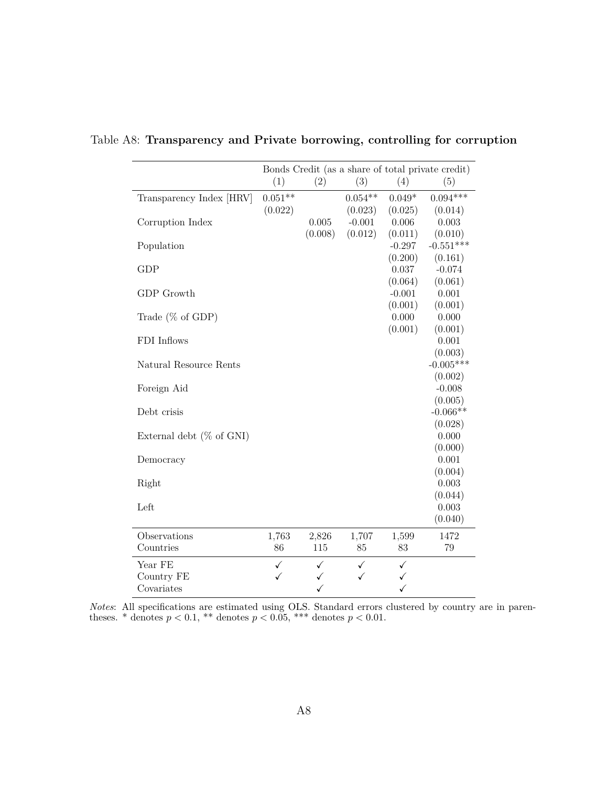|                              |           |         |           |              | Bonds Credit (as a share of total private credit) |
|------------------------------|-----------|---------|-----------|--------------|---------------------------------------------------|
|                              | (1)       | (2)     | (3)       | (4)          | (5)                                               |
| Transparency Index [HRV]     | $0.051**$ |         | $0.054**$ | $0.049*$     | $0.094***$                                        |
|                              | (0.022)   |         | (0.023)   | (0.025)      | (0.014)                                           |
| Corruption Index             |           | 0.005   | $-0.001$  | 0.006        | 0.003                                             |
|                              |           | (0.008) | (0.012)   | (0.011)      | (0.010)                                           |
| Population                   |           |         |           | $-0.297$     | $-0.551***$                                       |
|                              |           |         |           | (0.200)      | (0.161)                                           |
| <b>GDP</b>                   |           |         |           | 0.037        | $-0.074$                                          |
|                              |           |         |           | (0.064)      | (0.061)                                           |
| GDP Growth                   |           |         |           | $-0.001$     | 0.001                                             |
|                              |           |         |           | (0.001)      | (0.001)                                           |
| Trade $(\%$ of GDP)          |           |         |           | 0.000        | 0.000                                             |
|                              |           |         |           | (0.001)      | (0.001)                                           |
| FDI Inflows                  |           |         |           |              | 0.001                                             |
|                              |           |         |           |              |                                                   |
|                              |           |         |           |              | (0.003)<br>$-0.005***$                            |
| Natural Resource Rents       |           |         |           |              |                                                   |
|                              |           |         |           |              | (0.002)                                           |
| Foreign Aid                  |           |         |           |              | $-0.008$                                          |
|                              |           |         |           |              | (0.005)                                           |
| Debt crisis                  |           |         |           |              | $-0.066**$                                        |
|                              |           |         |           |              | (0.028)                                           |
| External debt ( $\%$ of GNI) |           |         |           |              | 0.000                                             |
|                              |           |         |           |              | (0.000)                                           |
| Democracy                    |           |         |           |              | 0.001                                             |
|                              |           |         |           |              | (0.004)                                           |
| Right                        |           |         |           |              | 0.003                                             |
|                              |           |         |           |              | (0.044)                                           |
| Left                         |           |         |           |              | 0.003                                             |
|                              |           |         |           |              | (0.040)                                           |
| Observations                 | 1,763     | 2,826   | 1,707     | 1,599        | 1472                                              |
| Countries                    | 86        | 115     | 85        | 83           | 79                                                |
|                              |           |         |           |              |                                                   |
| Year FE                      | ✓<br>✓    | ✓       | ✓<br>✓    | $\checkmark$ |                                                   |
| Country FE                   |           | ✓       |           |              |                                                   |
| Covariates                   |           | ✓       |           | ✓            |                                                   |

<span id="page-49-0"></span>Table A8: **Transparency and Private borrowing, controlling for corruption**

*Notes*: All specifications are estimated using OLS. Standard errors clustered by country are in parentheses. \* denotes  $p < 0.1$ , \*\* denotes  $p < 0.05$ , \*\*\* denotes  $p < 0.01$ .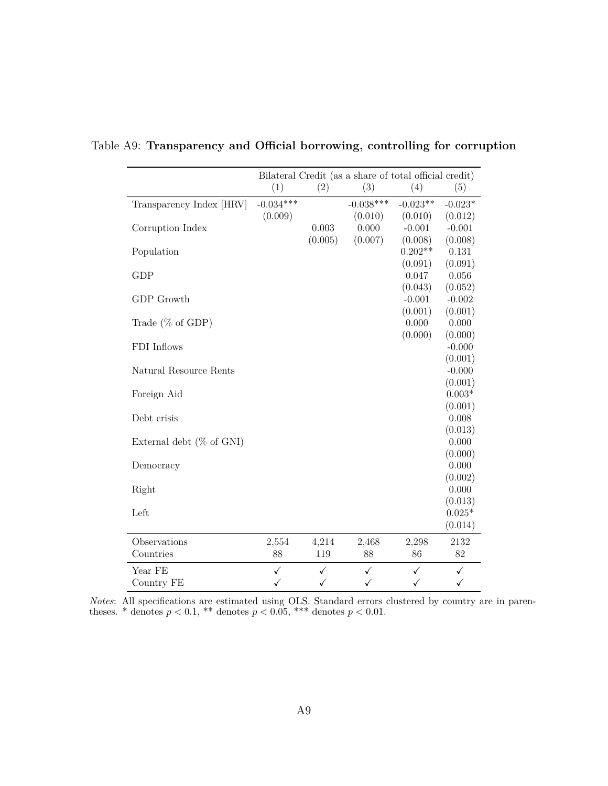|                             | Bilateral Credit (as a share of total official credit) |                  |                  |                     |                     |  |  |
|-----------------------------|--------------------------------------------------------|------------------|------------------|---------------------|---------------------|--|--|
|                             | (1)                                                    | (2)              | (3)              | (4)                 | (5)                 |  |  |
| Transparency Index [HRV]    | $-0.034***$                                            |                  | $-0.038***$      | $-0.023**$          | $-0.023*$           |  |  |
|                             | (0.009)                                                |                  | (0.010)          | (0.010)             | (0.012)             |  |  |
| Corruption Index            |                                                        | 0.003<br>(0.005) | 0.000<br>(0.007) | $-0.001$<br>(0.008) | $-0.001$<br>(0.008) |  |  |
| Population                  |                                                        |                  |                  | $0.202**$           | 0.131               |  |  |
|                             |                                                        |                  |                  | (0.091)             | (0.091)             |  |  |
| <b>GDP</b>                  |                                                        |                  |                  | 0.047               | 0.056               |  |  |
|                             |                                                        |                  |                  | (0.043)             | (0.052)             |  |  |
| GDP Growth                  |                                                        |                  |                  | $-0.001$            | $-0.002$            |  |  |
|                             |                                                        |                  |                  | (0.001)             | (0.001)             |  |  |
| Trade $(\%$ of GDP)         |                                                        |                  |                  | $0.000\,$           | 0.000               |  |  |
|                             |                                                        |                  |                  | (0.000)             | (0.000)             |  |  |
| FDI Inflows                 |                                                        |                  |                  |                     | $-0.000$            |  |  |
|                             |                                                        |                  |                  |                     | (0.001)             |  |  |
| Natural Resource Rents      |                                                        |                  |                  |                     | $-0.000$            |  |  |
|                             |                                                        |                  |                  |                     | (0.001)             |  |  |
| Foreign Aid                 |                                                        |                  |                  |                     | $0.003*$            |  |  |
|                             |                                                        |                  |                  |                     | (0.001)<br>0.008    |  |  |
| Debt crisis                 |                                                        |                  |                  |                     | (0.013)             |  |  |
| External debt $(\%$ of GNI) |                                                        |                  |                  |                     | 0.000               |  |  |
|                             |                                                        |                  |                  |                     | (0.000)             |  |  |
| Democracy                   |                                                        |                  |                  |                     | 0.000               |  |  |
|                             |                                                        |                  |                  |                     | (0.002)             |  |  |
| Right                       |                                                        |                  |                  |                     | 0.000               |  |  |
|                             |                                                        |                  |                  |                     | (0.013)             |  |  |
| Left                        |                                                        |                  |                  |                     | $0.025*$            |  |  |
|                             |                                                        |                  |                  |                     | (0.014)             |  |  |
| Observations                | 2,554                                                  | 4,214            | 2,468            | 2,298               | 2132                |  |  |
| Countries                   | 88                                                     | 119              | 88               | 86                  | 82                  |  |  |
|                             |                                                        |                  |                  |                     |                     |  |  |
| Year FE                     | ✓                                                      | ✓                | ✓                | ✓                   | ✓                   |  |  |
| Country FE                  | $\checkmark$                                           | ✓                | ✓                | ✓                   | ✓                   |  |  |

<span id="page-50-0"></span>Table A9: **Transparency and Official borrowing, controlling for corruption**

*Notes*: All specifications are estimated using OLS. Standard errors clustered by country are in parentheses. \* denotes  $p < 0.1$ , \*\* denotes  $p < 0.05$ , \*\*\* denotes  $p < 0.01$ .